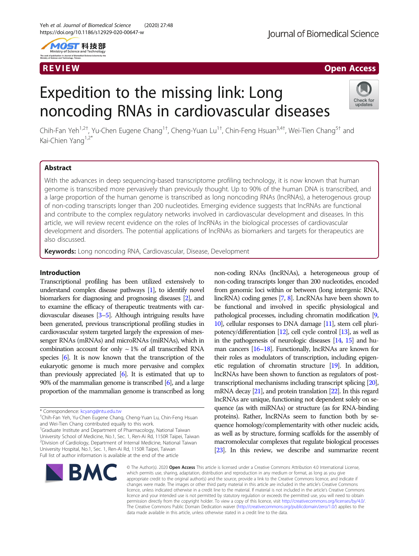

## R EVI EW Open Access

# Expedition to the missing link: Long noncoding RNAs in cardiovascular diseases



Chih-Fan Yeh<sup>1,2†</sup>, Yu-Chen Eugene Chang<sup>1†</sup>, Cheng-Yuan Lu<sup>1†</sup>, Chin-Feng Hsuan<sup>3,4†</sup>, Wei-Tien Chang<sup>5†</sup> and Kai-Chien Yang<sup>1,2\*</sup>

### Abstract

With the advances in deep sequencing-based transcriptome profiling technology, it is now known that human genome is transcribed more pervasively than previously thought. Up to 90% of the human DNA is transcribed, and a large proportion of the human genome is transcribed as long noncoding RNAs (lncRNAs), a heterogenous group of non-coding transcripts longer than 200 nucleotides. Emerging evidence suggests that lncRNAs are functional and contribute to the complex regulatory networks involved in cardiovascular development and diseases. In this article, we will review recent evidence on the roles of lncRNAs in the biological processes of cardiovascular development and disorders. The potential applications of lncRNAs as biomarkers and targets for therapeutics are also discussed.

Keywords: Long noncoding RNA, Cardiovascular, Disease, Development

### Introduction

Transcriptional profiling has been utilized extensively to understand complex disease pathways [[1](#page-13-0)], to identify novel biomarkers for diagnosing and prognosing diseases [\[2\]](#page-13-0), and to examine the efficacy of therapeutic treatments with cardiovascular diseases [\[3](#page-13-0)–[5\]](#page-13-0). Although intriguing results have been generated, previous transcriptional profiling studies in cardiovascular system targeted largely the expression of messenger RNAs (mRNAs) and microRNAs (miRNAs), which in combination account for only  $\sim$  1% of all transcribed RNA species [[6](#page-13-0)]. It is now known that the transcription of the eukaryotic genome is much more pervasive and complex than previously appreciated  $[6]$  $[6]$  $[6]$ . It is estimated that up to 90% of the mammalian genome is transcribed  $[6]$  $[6]$ , and a large proportion of the mammalian genome is transcribed as long

<sup>1</sup>Graduate Institute and Department of Pharmacology, National Taiwan University School of Medicine, No.1, Sec. 1, Ren-Ai Rd, 1150R Taipei, Taiwan <sup>2</sup> Division of Cardiology, Department of Internal Medicine, National Taiwan University Hospital, No.1, Sec. 1, Ren-Ai Rd, 1150R Taipei, Taiwan Full list of author information is available at the end of the article

non-coding RNAs (lncRNAs), a heterogeneous group of non-coding transcripts longer than 200 nucleotides, encoded from genomic loci within or between (long intergenic RNA, lincRNA) coding genes [\[7,](#page-13-0) [8](#page-13-0)]. LncRNAs have been shown to be functional and involved in specific physiological and pathological processes, including chromatin modification [\[9](#page-13-0), [10\]](#page-13-0), cellular responses to DNA damage [[11\]](#page-13-0), stem cell pluripotency/differentiation [\[12](#page-13-0)], cell cycle control [\[13](#page-13-0)], as well as in the pathogenesis of neurologic diseases [\[14](#page-13-0), [15](#page-13-0)] and hu-man cancers [\[16](#page-13-0)–[18](#page-13-0)]. Functionally, lncRNAs are known for their roles as modulators of transcription, including epigenetic regulation of chromatin structure [\[19](#page-13-0)]. In addition, lncRNAs have been shown to function as regulators of posttranscriptional mechanisms including transcript splicing [\[20\]](#page-13-0), mRNA decay [[21\]](#page-13-0), and protein translation [[22\]](#page-13-0). In this regard lncRNAs are unique, functioning not dependent solely on sequence (as with miRNAs) or structure (as for RNA-binding proteins). Rather, lncRNAs seem to function both by sequence homology/complementarity with other nucleic acids, as well as by structure, forming scaffolds for the assembly of macromolecular complexes that regulate biological processes [[23\]](#page-13-0). In this review, we describe and summarize recent



© The Author(s), 2020 **Open Access** This article is licensed under a Creative Commons Attribution 4.0 International License, which permits use, sharing, adaptation, distribution and reproduction in any medium or format, as long as you give appropriate credit to the original author(s) and the source, provide a link to the Creative Commons licence, and indicate if changes were made. The images or other third party material in this article are included in the article's Creative Commons licence, unless indicated otherwise in a credit line to the material. If material is not included in the article's Creative Commons licence and your intended use is not permitted by statutory regulation or exceeds the permitted use, you will need to obtain permission directly from the copyright holder. To view a copy of this licence, visit [http://creativecommons.org/licenses/by/4.0/.](http://creativecommons.org/licenses/by/4.0/) The Creative Commons Public Domain Dedication waiver [\(http://creativecommons.org/publicdomain/zero/1.0/](http://creativecommons.org/publicdomain/zero/1.0/)) applies to the data made available in this article, unless otherwise stated in a credit line to the data.

<sup>\*</sup> Correspondence: [kcyang@ntu.edu.tw](mailto:kcyang@ntu.edu.tw) †

Chih-Fan Yeh, Yu-Chen Eugene Chang, Cheng-Yuan Lu, Chin-Feng Hsuan and Wei-Tien Chang contributed equally to this work.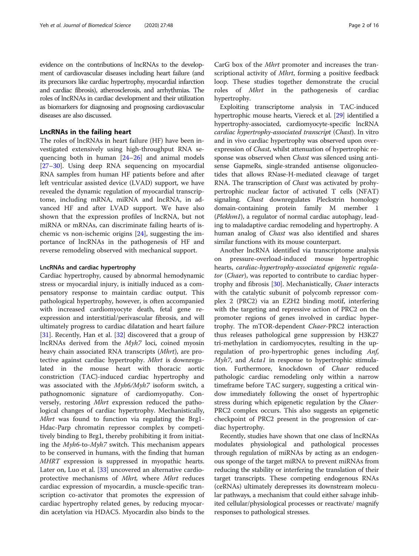evidence on the contributions of lncRNAs to the development of cardiovascular diseases including heart failure (and its precursors like cardiac hypertrophy, myocardial infarction and cardiac fibrosis), atherosclerosis, and arrhythmias. The roles of lncRNAs in cardiac development and their utilization as biomarkers for diagnosing and prognosing cardiovascular diseases are also discussed.

### LncRNAs in the failing heart

The roles of lncRNAs in heart failure (HF) have been investigated extensively using high-throughput RNA sequencing both in human [[24](#page-13-0)–[26\]](#page-13-0) and animal models [[27](#page-13-0)–[30](#page-13-0)]. Using deep RNA sequencing on myocardial RNA samples from human HF patients before and after left ventricular assisted device (LVAD) support, we have revealed the dynamic regulation of myocardial transcriptome, including mRNA, miRNA and lncRNA, in advanced HF and after LVAD support. We have also shown that the expression profiles of lncRNA, but not miRNA or mRNAs, can discriminate failing hearts of ischemic vs non-ischemic origins [[24\]](#page-13-0), suggesting the importance of lncRNAs in the pathogenesis of HF and reverse remodeling observed with mechanical support.

### LncRNAs and cardiac hypertrophy

Cardiac hypertrophy, caused by abnormal hemodynamic stress or myocardial injury, is initially induced as a compensatory response to maintain cardiac output. This pathological hypertrophy, however, is often accompanied with increased cardiomyocyte death, fetal gene reexpression and interstitial/perivascular fibrosis, and will ultimately progress to cardiac dilatation and heart failure [[31\]](#page-13-0). Recently, Han et al. [\[32](#page-13-0)] discovered that a group of lncRNAs derived from the Myh7 loci, coined myosin heavy chain associated RNA transcripts (Mhrt), are protective against cardiac hypertrophy. Mhrt is downregulated in the mouse heart with thoracic aortic constriction (TAC)-induced cardiac hypertrophy and was associated with the Myh6/Myh7 isoform switch, a pathognomonic signature of cardiomyopathy. Conversely, restoring Mhrt expression reduced the pathological changes of cardiac hypertrophy. Mechanistically, Mhrt was found to function via regulating the Brg1- Hdac-Parp chromatin repressor complex by competitively binding to Brg1, thereby prohibiting it from initiating the Myh6-to-Myh7 switch. This mechanism appears to be conserved in humans, with the finding that human MHRT expression is suppressed in myopathic hearts. Later on, Luo et al. [[33](#page-13-0)] uncovered an alternative cardioprotective mechanisms of Mhrt, where Mhrt reduces cardiac expression of myocardin, a muscle-specific transcription co-activator that promotes the expression of cardiac hypertrophy related genes, by reducing myocardin acetylation via HDAC5. Myocardin also binds to the

CarG box of the Mhrt promoter and increases the transcriptional activity of *Mhrt*, forming a positive feedback loop. These studies together demonstrate the crucial roles of *Mhrt* in the pathogenesis of cardiac hypertrophy.

Exploiting transcriptome analysis in TAC-induced hypertrophic mouse hearts, Viereck et al. [[29](#page-13-0)] identified a hypertrophy-associated, cardiomyocyte-specific lncRNA cardiac hypertrophy-associated transcript (Chast). In vitro and in vivo cardiac hypertrophy was observed upon overexpression of Chast, whilst attenuation of hypertrophic response was observed when *Chast* was silenced using antisense GapmeRs, single-stranded antisense oligonucleotides that allows RNase-H-mediated cleavage of target RNA. The transcription of *Chast* was activated by prohypertrophic nuclear factor of activated T cells (NFAT) signaling. *Chast* downregulates Pleckstrin homology domain-containing protein family M member 1 (Plekhm1), a regulator of normal cardiac autophagy, leading to maladaptive cardiac remodeling and hypertrophy. A human analog of *Chast* was also identified and shares similar functions with its mouse counterpart.

Another lncRNA identified via transcriptome analysis on pressure-overload-induced mouse hypertrophic hearts, cardiac-hypertrophy-associated epigenetic regulator (Chaer), was reported to contribute to cardiac hyper-trophy and fibrosis [[30\]](#page-13-0). Mechanistically, *Chaer* interacts with the catalytic subunit of polycomb repressor complex 2 (PRC2) via an EZH2 binding motif, interfering with the targeting and repressive action of PRC2 on the promoter regions of genes involved in cardiac hypertrophy. The mTOR-dependent Chaer-PRC2 interaction thus releases pathological gene suppression by H3K27 tri-methylation in cardiomyocytes, resulting in the upregulation of pro-hypertrophic genes including Anf, Myh7, and Acta1 in response to hypertrophic stimulation. Furthermore, knockdown of Chaer reduced pathologic cardiac remodeling only within a narrow timeframe before TAC surgery, suggesting a critical window immediately following the onset of hypertrophic stress during which epigenetic regulation by the Chaer-PRC2 complex occurs. This also suggests an epigenetic checkpoint of PRC2 present in the progression of cardiac hypertrophy.

Recently, studies have shown that one class of lncRNAs modulates physiological and pathological processes through regulation of miRNAs by acting as an endogenous sponge of the target miRNA to prevent miRNAs from reducing the stability or interfering the translation of their target transcripts. These competing endogenous RNAs (ceRNAs) ultimately derepresses its downstream molecular pathways, a mechanism that could either salvage inhibited cellular/physiological processes or reactivate/ magnify responses to pathological stresses.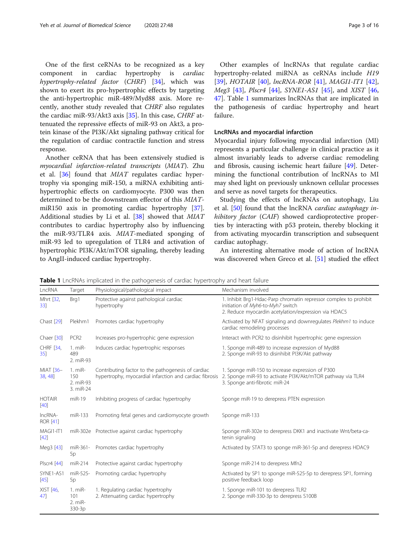One of the first ceRNAs to be recognized as a key component in cardiac hypertrophy is cardiac hypertrophy-related factor (CHRF) [\[34](#page-13-0)], which was shown to exert its pro-hypertrophic effects by targeting the anti-hypertrophic miR-489/Myd88 axis. More recently, another study revealed that CHRF also regulates the cardiac miR-93/Akt3 axis [\[35](#page-13-0)]. In this case, CHRF attenuated the repressive effects of miR-93 on Akt3, a protein kinase of the PI3K/Akt signaling pathway critical for the regulation of cardiac contractile function and stress response.

Another ceRNA that has been extensively studied is myocardial infarction-related transcripts (MIAT). Zhu et al.  $[36]$  $[36]$  $[36]$  found that *MIAT* regulates cardiac hypertrophy via sponging miR-150, a miRNA exhibiting antihypertrophic effects on cardiomyocyte. P300 was then determined to be the downstream effector of this MIATmiR150 axis in promoting cardiac hypertrophy [\[37](#page-13-0)]. Additional studies by Li et al. [\[38](#page-13-0)] showed that MIAT contributes to cardiac hypertrophy also by influencing the miR-93/TLR4 axis. MIAT-mediated sponging of miR-93 led to upregulation of TLR4 and activation of hypertrophic PI3K/Akt/mTOR signaling, thereby leading to AngII-induced cardiac hypertrophy.

Other examples of lncRNAs that regulate cardiac hypertrophy-related miRNA as ceRNAs include H19 [[39\]](#page-13-0), HOTAIR [[40\]](#page-13-0), lncRNA-ROR [\[41](#page-13-0)], MAGI1-IT1 [\[42](#page-13-0)], Meg3 [\[43](#page-13-0)], Plscr4 [\[44](#page-13-0)], SYNE1-AS1 [[45\]](#page-14-0), and XIST [[46](#page-14-0), [47\]](#page-14-0). Table 1 summarizes lncRNAs that are implicated in the pathogenesis of cardiac hypertrophy and heart failure.

### LncRNAs and myocardial infarction

Myocardial injury following myocardial infarction (MI) represents a particular challenge in clinical practice as it almost invariably leads to adverse cardiac remodeling and fibrosis, causing ischemic heart failure [[49\]](#page-14-0). Determining the functional contribution of lncRNAs to MI may shed light on previously unknown cellular processes and serve as novel targets for therapeutics.

Studying the effects of lncRNAs on autophagy, Liu et al. [[50](#page-14-0)] found that the lncRNA cardiac autophagy inhibitory factor (CAIF) showed cardioprotective properties by interacting with p53 protein, thereby blocking it from activating myocardin transcription and subsequent cardiac autophagy.

An interesting alternative mode of action of lncRNA was discovered when Greco et al. [[51](#page-14-0)] studied the effect

**Table 1** LncRNAs implicated in the pathogenesis of cardiac hypertrophy and heart failure

| LncRNA                     | Target                                     | Physiological/pathological impact                                                                             | Mechanism involved                                                                                                                                             |
|----------------------------|--------------------------------------------|---------------------------------------------------------------------------------------------------------------|----------------------------------------------------------------------------------------------------------------------------------------------------------------|
| Mhrt [32,<br>33]           | Brg1                                       | Protective against pathological cardiac<br>hypertrophy                                                        | 1. Inhibit Brg1-Hdac-Parp chromatin repressor complex to prohibit<br>initiation of Myh6-to-Myh7 switch<br>2. Reduce myocardin acetylation/expression via HDAC5 |
| Chast [29]                 | Plekhm1                                    | Promotes cardiac hypertrophy                                                                                  | Activated by NFAT signaling and downregulates Plekhm1 to induce<br>cardiac remodeling processes                                                                |
| Chaer [30]                 | PCR <sub>2</sub>                           | Increases pro-hypertrophic gene expression                                                                    | Interact with PCR2 to disinhibit hypertrophic gene expression                                                                                                  |
| CHRF [34,<br>35]           | $1. mIR-$<br>489<br>2. miR-93              | Induces cardiac hypertrophic responses                                                                        | 1. Sponge miR-489 to increase expression of Myd88<br>2. Sponge miR-93 to disinhibit PI3K/Akt pathway                                                           |
| MIAT [36-<br>38, 48]       | $1. mIR-$<br>150<br>2. miR-93<br>3. miR-24 | Contributing factor to the pathogenesis of cardiac<br>hypertrophy, myocardial infarction and cardiac fibrosis | 1. Sponge miR-150 to increase expression of P300<br>2. Sponge miR-93 to activate PI3K/Akt/mTOR pathway via TLR4<br>3. Sponge anti-fibrotic miR-24              |
| <b>HOTAIR</b><br>$[40]$    | $miR-19$                                   | Inhibiting progress of cardiac hypertrophy                                                                    | Sponge miR-19 to derepress PTEN expression                                                                                                                     |
| IncRNA-<br><b>ROR</b> [41] | miR-133                                    | Promoting fetal genes and cardiomyocyte growth                                                                | Sponge miR-133                                                                                                                                                 |
| MAGI1-IT1<br>$[42]$        |                                            | miR-302e Protective against cardiac hypertrophy                                                               | Sponge miR-302e to derepress DKK1 and inactivate Wnt/beta-ca-<br>tenin signaling                                                                               |
| Meg3 [43]                  | miR-361-<br>5p                             | Promotes cardiac hypertrophy                                                                                  | Activated by STAT3 to sponge miR-361-5p and derepress HDAC9                                                                                                    |
| Plscr4 [44]                | miR-214                                    | Protective against cardiac hypertrophy                                                                        | Sponge miR-214 to derepress Mfn2                                                                                                                               |
| SYNE1-AS1<br>$[45]$        | miR-525-<br>5p                             | Promoting cardiac hypertrophy                                                                                 | Activated by SP1 to sponge miR-525-5p to derepress SP1, forming<br>positive feedback loop                                                                      |
| XIST [46,<br>47            | 1. miR-<br>101<br>2. miR-<br>330-3p        | 1. Regulating cardiac hypertrophy<br>2. Attenuating cardiac hypertrophy                                       | 1. Sponge miR-101 to derepress TLR2<br>2. Sponge miR-330-3p to derepress S100B                                                                                 |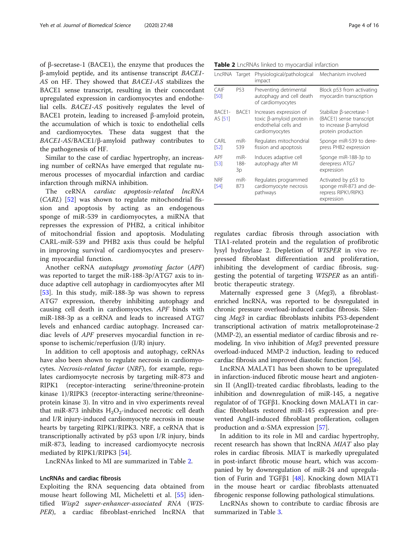of β-secretase-1 (BACE1), the enzyme that produces the β-amyloid peptide, and its antisense transcript BACE1- AS on HF. They showed that BACE1-AS stabilizes the BACE1 sense transcript, resulting in their concordant upregulated expression in cardiomyocytes and endothelial cells. BACE1-AS positively regulates the level of BACE1 protein, leading to increased β-amyloid protein, the accumulation of which is toxic to endothelial cells and cardiomyocytes. These data suggest that the BACE1-AS/BACE1/β-amyloid pathway contributes to the pathogenesis of HF.

Similar to the case of cardiac hypertrophy, an increasing number of ceRNAs have emerged that regulate numerous processes of myocardial infarction and cardiac infarction through miRNA inhibition.

The ceRNA cardiac apoptosis-related lncRNA (CARL) [\[52](#page-14-0)] was shown to regulate mitochondrial fission and apoptosis by acting as an endogenous sponge of miR-539 in cardiomyocytes, a miRNA that represses the expression of PHB2, a critical inhibitor of mitochondrial fission and apoptosis. Modulating CARL-miR-539 and PHB2 axis thus could be helpful in improving survival of cardiomyocytes and preserving myocardial function.

Another ceRNA autophagy promoting factor (APF) was reported to target the miR-188-3p/ATG7 axis to induce adaptive cell autophagy in cardiomyocytes after MI [[53\]](#page-14-0). In this study, miR-188-3p was shown to repress ATG7 expression, thereby inhibiting autophagy and causing cell death in cardiomyocytes. APF binds with miR-188-3p as a ceRNA and leads to increased ATG7 levels and enhanced cardiac autophagy. Increased cardiac levels of APF preserves myocardial function in response to ischemic/reperfusion (I/R) injury.

In addition to cell apoptosis and autophagy, ceRNAs have also been shown to regulate necrosis in cardiomyocytes. Necrosis-related factor (NRF), for example, regulates cardiomyocyte necrosis by targeting miR-873 and RIPK1 (receptor-interacting serine/threonine-protein kinase 1)/RIPK3 (receptor-interacting serine/threonineprotein kinase 3). In vitro and in vivo experiments reveal that miR-873 inhibits  $H_2O_2$ -induced necrotic cell death and I/R injury-induced cardiomyocyte necrosis in mouse hearts by targeting RIPK1/RIPK3. NRF, a ceRNA that is transcriptionally activated by p53 upon I/R injury, binds miR-873, leading to increased cardiomyocyte necrosis mediated by RIPK1/RIPK3 [[54\]](#page-14-0).

LncRNAs linked to MI are summarized in Table 2.

### LncRNAs and cardiac fibrosis

Exploiting the RNA sequencing data obtained from mouse heart following MI, Micheletti et al. [\[55](#page-14-0)] identified Wisp2 super-enhancer-associated RNA (WIS-PER), a cardiac fibroblast-enriched lncRNA that

| Table 2 LncRNAs linked to myocardial infarction |  |
|-------------------------------------------------|--|
|-------------------------------------------------|--|

| LncRNA Target      |                      | Physiological/pathological<br>impact                                                             | Mechanism involved                                                                                 |
|--------------------|----------------------|--------------------------------------------------------------------------------------------------|----------------------------------------------------------------------------------------------------|
| CAIF<br>[50]       | P <sub>53</sub>      | Preventing detrimental<br>autophagy and cell death<br>of cardiomyocytes                          | Block p53 from activating<br>myocardin transcription                                               |
| BACF1-<br>AS [51]  | BACE1                | Increases expression of<br>toxic β-amyloid protein in<br>endothelial cells and<br>cardiomyocytes | Stabilize β-secretase-1<br>(BACE1) sense transcript<br>to increase β-amyloid<br>protein production |
| CARL<br>$[52]$     | $miR-$<br>539        | Regulates mitochondrial<br>fission and apoptosis                                                 | Sponge miR-539 to dere-<br>press PHB2 expression                                                   |
| APF<br>[53]        | $miR-$<br>188-<br>3p | Induces adaptive cell<br>autophagy after MI                                                      | Sponge miR-188-3p to<br>derepress ATG7<br>expression                                               |
| <b>NRF</b><br>[54] | $miR-$<br>873        | Regulates programmed<br>cardiomyocyte necrosis<br>pathways                                       | Activated by p53 to<br>sponge miR-873 and de-<br>repress RIPK1/RIPK3<br>expression                 |

regulates cardiac fibrosis through association with TIA1-related protein and the regulation of profibrotic lysyl hydroylase 2. Depletion of WISPER in vivo repressed fibroblast differentiation and proliferation, inhibiting the development of cardiac fibrosis, suggesting the potential of targeting WISPER as an antifibrotic therapeutic strategy.

Maternally expressed gene 3 (Meg3), a fibroblastenriched lncRNA, was reported to be dysregulated in chronic pressure overload-induced cardiac fibrosis. Silencing Meg3 in cardiac fibroblasts inhibits P53-dependent transcriptional activation of matrix metalloproteinase-2 (MMP-2), an essential mediator of cardiac fibrosis and remodeling. In vivo inhibition of Meg3 prevented pressure overload-induced MMP-2 induction, leading to reduced cardiac fibrosis and improved diastolic function [\[56\]](#page-14-0).

LncRNA MALAT1 has been shown to be upregulated in infarction-induced fibrotic mouse heart and angiotensin II (AngII)-treated cardiac fibroblasts, leading to the inhibition and downregulation of miR-145, a negative regulator of of TGFβ1. Knocking down MALAT1 in cardiac fibroblasts restored miR-145 expression and prevented AngII-induced fibroblast profileration, collagen production and  $α$ -SMA expression [\[57\]](#page-14-0).

In addition to its role in MI and cardiac hypertrophy, recent research has shown that lncRNA MIAT also play roles in cardiac fibrosis. MIAT is markedly upregulated in post-infarct fibrotic mouse heart, which was accompanied by by downregulation of miR-24 and upregulation of Furin and TGFβ1 [[48\]](#page-14-0). Knocking down MIAT1 in the mouse heart or cardiac fibroblasts attenuated fibrogenic response following pathological stimulations.

LncRNAs shown to contribute to cardiac fibrosis are summarized in Table [3](#page-4-0).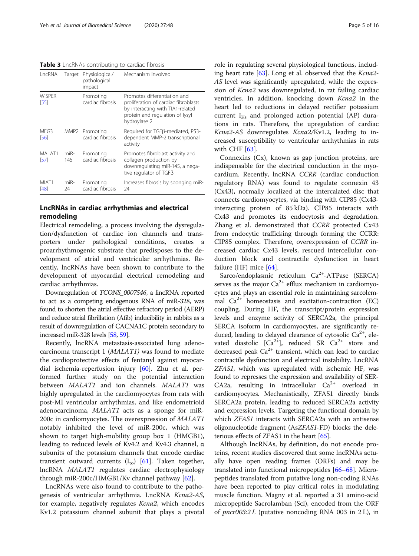<span id="page-4-0"></span>Table 3 LncRNAs contributing to cardiac fibrosis

| LncRNA                | Target        | Physiological/<br>pathological<br>impact | Mechanism involved                                                                                                                                          |
|-----------------------|---------------|------------------------------------------|-------------------------------------------------------------------------------------------------------------------------------------------------------------|
| <b>WISPFR</b><br>[55] |               | Promoting<br>cardiac fibrosis            | Promotes differentiation and<br>proliferation of cardiac fibroblasts<br>by interacting with TIA1-related<br>protein and regulation of lysyl<br>hydroylase 2 |
| MFG3<br>[56]          | MMP2          | Promoting<br>cardiac fibrosis            | Required for TGFB-mediated, P53-<br>dependent MMP-2 transcriptional<br>activity                                                                             |
| MAI AT1<br>[57]       | $miR-$<br>145 | Promoting<br>cardiac fibrosis            | Promotes fibroblast activity and<br>collagen production by<br>downregulating miR-145, a nega-<br>tive regulator of TGFB                                     |
| MIAT1<br>[48]         | $miR-$<br>24  | Promoting<br>cardiac fibrosis            | Increases fibrosis by sponging miR-<br>24                                                                                                                   |

### LncRNAs in cardiac arrhythmias and electrical remodeling

Electrical remodeling, a process involving the dysregulation/dysfunction of cardiac ion channels and transporters under pathological conditions, creates a proarrhythmogenic substrate that predisposes to the development of atrial and ventricular arrhythmias. Recently, lncRNAs have been shown to contribute to the development of myocardial electrical remodeling and cardiac arrhythmias.

Downregulation of TCONS\_0007546, a lincRNA reported to act as a competing endogenous RNA of miR-328, was found to shorten the atrial effective refractory period (AERP) and reduce atrial fibrillation (Afib) inducibility in rabbits as a result of downregulation of CACNA1C protein secondary to increased miR-328 levels [\[58,](#page-14-0) [59](#page-14-0)].

Recently, lncRNA metastasis-associated lung adenocarcinoma transcript 1 (MALAT1) was found to mediate the cardioprotective effects of fentanyl against myocardial ischemia-reperfusion injury [[60](#page-14-0)]. Zhu et al. performed further study on the potential interaction between MALAT1 and ion channels. MALAT1 was highly upregulated in the cardiomyocytes from rats with post-MI ventricular arrhythmias, and like endometrioid adenocarcinoma, MALAT1 acts as a sponge for miR-200c in cardiomyocytes. The overexpression of MALAT1 notably inhibited the level of miR-200c, which was shown to target high-mobility group box 1 (HMGB1), leading to reduced levels of Kv4.2 and Kv4.3 channel, α subunits of the potassium channels that encode cardiac transient outward currents  $(I_{\text{to}})$  [\[61](#page-14-0)]. Taken together, lncRNA MALAT1 regulates cardiac electrophysiology through miR-200c/HMGB1/Kv channel pathway [\[62](#page-14-0)].

LncRNAs were also found to contribute to the pathogenesis of ventricular arrhythmia. LncRNA Kcna2-AS, for example, negatively regulates Kcna2, which encodes Kv1.2 potassium channel subunit that plays a pivotal role in regulating several physiological functions, includ-ing heart rate [[63](#page-14-0)]. Long et al. observed that the *Kcna2*-AS level was significantly upregulated, while the expression of Kcna2 was downregulated, in rat failing cardiac ventricles. In addition, knocking down Kcna2 in the heart led to reductions in delayed rectifier potassium current  $I_{Ks}$  and prolonged action potential (AP) durations in rats. Therefore, the upregulation of cardiac Kcna2-AS downregulates Kcna2/Kv1.2, leading to increased susceptibility to ventricular arrhythmias in rats with CHF [[63\]](#page-14-0).

Connexins (Cx), known as gap junction proteins, are indispensable for the electrical conduction in the myocardium. Recently, lncRNA CCRR (cardiac conduction regulatory RNA) was found to regulate connexin 43 (Cx43), normally localized at the intercalated disc that connects cardiomyocytes, via binding with CIP85 (Cx43 interacting protein of 85 kDa). CIP85 interacts with Cx43 and promotes its endocytosis and degradation. Zhang et al. demonstrated that CCRR protected Cx43 from endocytic trafficking through forming the CCRR: CIP85 complex. Therefore, overexpression of CCRR increased cardiac Cx43 levels, rescued intercellular conduction block and contractile dysfunction in heart failure (HF) mice [\[64\]](#page-14-0).

Sarco/endoplasmic reticulum  $Ca^{2+}$ -ATPase (SERCA) serves as the major  $Ca^{2+}$  efflux mechanism in cardiomyocytes and plays an essential role in maintaining sarcolemmal  $Ca^{2+}$  homeostasis and excitation-contraction (EC) coupling. During HF, the transcript/protein expression levels and enzyme activity of SERCA2a, the principal SERCA isoform in cardiomyocytes, are significantly reduced, leading to delayed clearance of cytosolic  $Ca^{2+}$ , elevated diastolic  $[Ca^{2+}]$ , reduced SR  $Ca^{2+}$  store and decreased peak  $Ca^{2+}$  transient, which can lead to cardiac contractile dysfunction and electrical instability. LncRNA ZFAS1, which was upregulated with ischemic HF, was found to represses the expression and availability of SER-CA2a, resulting in intracellular  $Ca^{2+}$  overload in cardiomyocytes. Mechanistically, ZFAS1 directly binds SERCA2a protein, leading to reduced SERCA2a activity and expression levels. Targeting the functional domain by which ZFAS1 interacts with SERCA2a with an antisense oligonucleotide fragment (AsZFAS1-FD) blocks the dele-terious effects of ZFAS1 in the heart [\[65\]](#page-14-0).

Although lncRNAs, by definition, do not encode proteins, recent studies discovered that some lncRNAs actually have open reading frames (ORFs) and may be translated into functional micropeptides [\[66](#page-14-0)–[68\]](#page-14-0). Micropeptides translated from putative long non-coding RNAs have been reported to play critical roles in modulating muscle function. Magny et al. reported a 31 amino-acid micropeptide Sacrolamban (Scl), encoded from the ORF of  $prec003:2 L$  (putative noncoding RNA 003 in 2L), in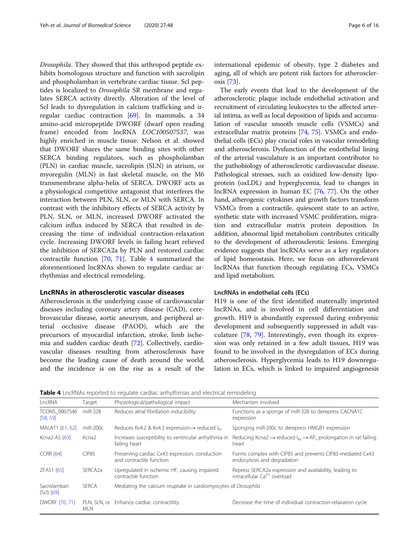Drosophila. They showed that this arthropod peptide exhibits homologous structure and function with sacrolipin and phospholamban in vertebrate cardiac tissue. Scl peptides is localized to Drosophila SR membrane and regulates SERCA activity directly. Alteration of the level of Scl leads to dysregulation in calcium trafficking and irregular cardiac contraction [\[69](#page-14-0)]. In mammals, a 34 amino-acid micropeptide DWORF (dwarf open reading frame) encoded from lncRNA LOC100507537, was highly enriched in muscle tissue. Nelson et al. showed that DWORF shares the same binding sites with other SERCA binding regulators, such as phospholamban (PLN) in cardiac muscle, sacrolipin (SLN) in atrium, or myoregulin (MLN) in fast skeletal muscle, on the M6 transmembrane alpha-helix of SERCA. DWORF acts as a physiological competitive antagonist that interferes the interaction between PLN, SLN, or MLN with SERCA. In contrast with the inhibitory effects of SERCA activity by PLN, SLN, or MLN, increased DWORF activated the calcium influx induced by SERCA that resulted in decreasing the time of individual contraction-relaxation cycle. Increasing DWORF levels in failing heart relieved the inhibition of SERCA2a by PLN and restored cardiac contractile function [\[70](#page-14-0), [71](#page-14-0)]. Table 4 summarized the aforementioned lncRNAs shown to regulate cardiac arrhythmias and electrical remodeling.

### LncRNAs in atherosclerotic vascular diseases

Atherosclerosis is the underlying cause of cardiovascular diseases including coronary artery disease (CAD), cerebrovascular disease, aortic aneurysm, and peripheral arterial occlusive disease (PAOD), which are the precursors of myocardial infarction, stroke, limb ischemia and sudden cardiac death [[72](#page-14-0)]. Collectively, cardiovascular diseases resulting from atherosclerosis have become the leading cause of death around the world, and the incidence is on the rise as a result of the international epidemic of obesity, type 2 diabetes and aging, all of which are potent risk factors for atherosclerosis [\[73\]](#page-14-0).

The early events that lead to the development of the atherosclerotic plaque include endothelial activation and recruitment of circulating leukocytes to the affected arterial intima, as well as local deposition of lipids and accumulation of vascular smooth muscle cells (VSMCs) and extracellular matrix proteins [[74](#page-14-0), [75\]](#page-14-0). VSMCs and endothelial cells (ECs) play crucial roles in vascular remodeling and atherosclerosis. Dysfunction of the endothelial lining of the arterial vasculature is an important contributor to the pathobiology of atherosclerotic cardiovascular disease. Pathological stresses, such as oxidized low-density lipoprotein (oxLDL) and hyperglycemia, lead to changes in lncRNA expression in human EC [[76](#page-14-0), [77\]](#page-14-0). On the other hand, atherogenic cytokines and growth factors transform VSMCs from a contractile, quiescent state to an active, synthetic state with increased VSMC proliferation, migration and extracellular matrix protein deposition. In addition, abnormal lipid metabolism contributes critically to the development of atherosclerotic lesions. Emerging evidence suggests that lncRNAs serve as a key regulators of lipid homeostasis. Here, we focus on atherorelevant lncRNAs that function through regulating ECs, VSMCs and lipid metabolism.

### LncRNAs in endothelial cells (ECs)

H19 is one of the first identified maternally imprinted lncRNAs, and is involved in cell differentiation and growth. H19 is abundantly expressed during embryonic development and subsequently suppressed in adult vasculature [\[78](#page-14-0), [79\]](#page-14-0). Interestingly, even though its expression was only retained in a few adult tissues, H19 was found to be involved in the dysregulation of ECs during atherosclerosis. Hyperglycemia leads to H19 downregulation in ECs, which is linked to impaired angiogenesis

**Table 4** LncRNAs reported to regulate cardiac arrhythmias and electrical remodeling

| LncRNA                      | Target              | Physiological/pathological impact                                          | Mechanism involved                                                                                  |  |
|-----------------------------|---------------------|----------------------------------------------------------------------------|-----------------------------------------------------------------------------------------------------|--|
| TCONS 0007546<br>[58, 59]   | $miR-328$           | Reduces atrial fibrillation inducibility                                   | Functions as a sponge of miR-328 to derepress CACNA1C<br>expression                                 |  |
| MALAT1 [61, 62]             | $miR-200c$          | Reduces Kv4.2 & Kv4.3 expression $\rightarrow$ reduced $I_{\text{to}}$     | Sponging miR-200c to derepress HMGB1 expression                                                     |  |
| Kcna2-AS [63]               | Kcna <sub>2</sub>   | Increases susceptibility to ventricular arrhythmia in<br>failing heart     | Reducing Kcna2 $\rightarrow$ reduced $I_{Kc} \rightarrow AP_c$ prolongation in rat failing<br>heart |  |
| CCRR [64]                   | <b>CIP85</b>        | Preserving cardiac Cx43 expression, conduction<br>and contractile function | Forms complex with CIP85 and prevents CIP85-mediated Cx43<br>endocytosis and degradation            |  |
| ZFAS1 [65]                  | SERCA <sub>2a</sub> | Upregulated in ischemic HF, causing impaired<br>contractile function       | Repress SERCA2a expression and availability, leading to<br>intracellular $Ca^{2+}$ overload         |  |
| Sacrolamban<br>$(Scl)$ [69] | <b>SERCA</b>        |                                                                            | Mediating the calcium reuptake in cardiomyocytes of Drosophila                                      |  |
| DWORF [70, 71]              | <b>MLN</b>          | PLN, SLN, or Enhance cardiac contractility                                 | Decrease the time of individual contraction-relaxation cycle                                        |  |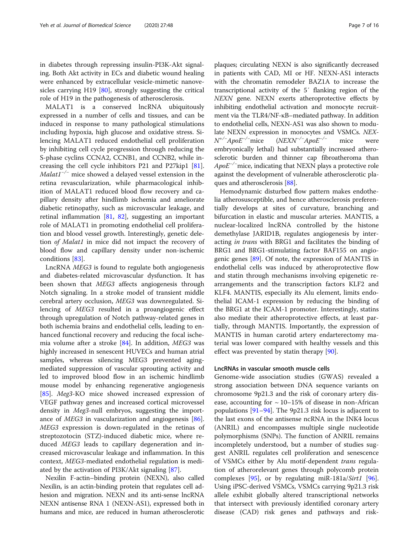in diabetes through repressing insulin-PI3K-Akt signaling. Both Akt activity in ECs and diabetic wound healing were enhanced by extracellular vesicle-mimetic nanove-sicles carrying H19 [[80\]](#page-14-0), strongly suggesting the critical role of H19 in the pathogenesis of atherosclerosis.

MALAT1 is a conserved lncRNA ubiquitously expressed in a number of cells and tissues, and can be induced in response to many pathological stimulations including hypoxia, high glucose and oxidative stress. Silencing MALAT1 reduced endothelial cell proliferation by inhibiting cell cycle progression through reducing the S-phase cyclins CCNA2, CCNB1, and CCNB2, while increasing the cell cycle inhibitors P21 and P27kip1 [\[81](#page-14-0)].  $Malat1^{-/-}$  mice showed a delayed vessel extension in the retina revascularization, while pharmacological inhibition of MALAT1 reduced blood flow recovery and capillary density after hindlimb ischemia and ameliorate diabetic retinopathy, such as microvascular leakage, and retinal inflammation [[81](#page-14-0), [82](#page-14-0)], suggesting an important role of MALAT1 in promoting endothelial cell proliferation and blood vessel growth. Interestingly, genetic deletion of Malat1 in mice did not impact the recovery of blood flow and capillary density under non-ischemic conditions [[83](#page-14-0)].

LncRNA MEG3 is found to regulate both angiogenesis and diabetes-related microvascular dysfunction. It has been shown that MEG3 affects angiogenesis through Notch signaling. In a stroke model of transient middle cerebral artery occlusion, MEG3 was downregulated. Silencing of MEG3 resulted in a proangiogenic effect through upregulation of Notch pathway-related genes in both ischemia brains and endothelial cells, leading to enhanced functional recovery and reducing the focal ischemia volume after a stroke [\[84](#page-14-0)]. In addition, MEG3 was highly increased in senescent HUVECs and human atrial samples, whereas silencing MEG3 prevented agingmediated suppression of vascular sprouting activity and led to improved blood flow in an ischemic hindlimb mouse model by enhancing regenerative angiogenesis [[85\]](#page-14-0). Meg3-KO mice showed increased expression of VEGF pathway genes and increased cortical microvessel density in Meg3-null embryos, suggesting the importance of MEG3 in vascularization and angiogenesis [\[86](#page-14-0)]. MEG3 expression is down-regulated in the retinas of streptozotocin (STZ)-induced diabetic mice, where reduced MEG3 leads to capillary degeneration and increased microvascular leakage and inflammation. In this context, MEG3-mediated endothelial regulation is medi-ated by the activation of PI3K/Akt signaling [[87](#page-14-0)].

Nexilin F-actin–binding protein (NEXN), also called Nexilin, is an actin-binding protein that regulates cell adhesion and migration. NEXN and its anti-sense lncRNA NEXN antisense RNA 1 (NEXN-AS1), expressed both in humans and mice, are reduced in human atherosclerotic

plaques; circulating NEXN is also significantly decreased in patients with CAD, MI or HF. NEXN-AS1 interacts with the chromatin remodeler BAZ1A to increase the transcriptional activity of the 5′ flanking region of the NEXN gene. NEXN exerts atheroprotective effects by inhibiting endothelial activation and monocyte recruitment via the TLR4/NF-κB–mediated pathway. In addition to endothelial cells, NEXN-AS1 was also shown to modulate NEXN expression in monocytes and VSMCs. NEX-N+/<sup>−</sup> ApoE−/<sup>−</sup> mice (NEXN−/<sup>−</sup> ApoE−/<sup>−</sup> mice were embryonically lethal) had substantially increased atherosclerotic burden and thinner cap fibroatheroma than ApoE<sup>-/-</sup>mice, indicating that NEXN plays a protective role against the development of vulnerable atherosclerotic plaques and atherosclerosis [[88](#page-14-0)].

Hemodynamic disturbed flow pattern makes endothelia atherosusceptible, and hence atherosclerosis preferentially develops at sites of curvature, branching and bifurcation in elastic and muscular arteries. MANTIS, a nuclear-localized lncRNA controlled by the histone demethylase JARID1B, regulates angiogenesis by interacting in trans with BRG1 and facilitates the binding of BRG1 and BRG1-stimulating factor BAF155 on angiogenic genes  $[89]$  $[89]$ . Of note, the expression of MANTIS in endothelial cells was induced by atheroprotective flow and statin through mechanisms involving epigenetic rearrangements and the transcription factors KLF2 and KLF4. MANTIS, especially its Alu element, limits endothelial ICAM-1 expression by reducing the binding of the BRG1 at the ICAM-1 promoter. Interestingly, statins also mediate their atheroprotective effects, at least partially, through MANTIS. Importantly, the expression of MANTIS in human carotid artery endarterectomy material was lower compared with healthy vessels and this effect was prevented by statin therapy [[90](#page-14-0)].

### LncRNAs in vascular smooth muscle cells

Genome-wide association studies (GWAS) revealed a strong association between DNA sequence variants on chromosome 9p21.3 and the risk of coronary artery disease, accounting for  $\sim$  10–15% of disease in non-African populations [[91](#page-14-0)–[94](#page-14-0)]. The 9p21.3 risk locus is adjacent to the last exons of the antisense ncRNA in the INK4 locus (ANRIL) and encompasses multiple single nucleotide polymorphisms (SNPs). The function of ANRIL remains incompletely understood, but a number of studies suggest ANRIL regulates cell proliferation and senescence of VSMCs either by Alu motif-dependent trans regulation of atherorelevant genes through polycomb protein complexes [\[95](#page-14-0)], or by regulating miR-181a/Sirt1 [\[96](#page-14-0)]. Using iPSC-derived VSMCs, VSMCs carrying 9p21.3 risk allele exhibit globally altered transcriptional networks that intersect with previously identified coronary artery disease (CAD) risk genes and pathways and risk-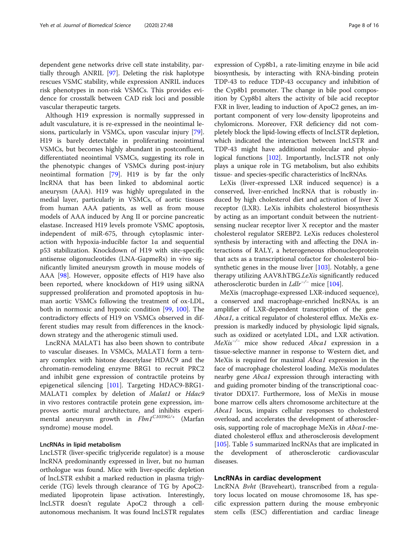dependent gene networks drive cell state instability, partially through ANRIL [\[97\]](#page-14-0). Deleting the risk haplotype rescues VSMC stability, while expression ANRIL induces risk phenotypes in non-risk VSMCs. This provides evidence for crosstalk between CAD risk loci and possible vascular therapeutic targets.

Although H19 expression is normally suppressed in adult vasculature, it is re-expressed in the neointimal lesions, particularly in VSMCs, upon vascular injury [\[79](#page-14-0)]. H19 is barely detectable in proliferating neointimal VSMCs, but becomes highly abundant in postconfluent, differentiated neointimal VSMCs, suggesting its role in the phenotypic changes of VSMCs during post-injury neointimal formation [\[79](#page-14-0)]. H19 is by far the only lncRNA that has been linked to abdominal aortic aneurysm (AAA). H19 was highly upregulated in the medial layer, particularly in VSMCs, of aortic tissues from human AAA patients, as well as from mouse models of AAA induced by Ang II or porcine pancreatic elastase. Increased H19 levels promote VSMC apoptosis, independent of miR-675, through cytoplasmic interaction with hypoxia-inducible factor 1α and sequential p53 stabilization. Knockdown of H19 with site-specific antisense oligonucleotides (LNA-GapmeRs) in vivo significantly limited aneurysm growth in mouse models of AAA [\[98](#page-14-0)]. However, opposite effects of H19 have also been reported, where knockdown of H19 using siRNA suppressed proliferation and promoted apoptosis in human aortic VSMCs following the treatment of ox-LDL, both in normoxic and hypoxic condition [[99](#page-14-0), [100](#page-14-0)]. The contradictory effects of H19 on VSMCs observed in different studies may result from differences in the knockdown strategy and the atherogenic stimuli used.

LncRNA MALAT1 has also been shown to contribute to vascular diseases. In VSMCs, MALAT1 form a ternary complex with histone deacetylase HDAC9 and the chromatin-remodeling enzyme BRG1 to recruit PRC2 and inhibit gene expression of contractile proteins by epigenetical silencing [\[101\]](#page-15-0). Targeting HDAC9-BRG1- MALAT1 complex by deletion of Malat1 or Hdac9 in vivo restores contractile protein gene expression, improves aortic mural architecture, and inhibits experimental aneurysm growth in  $Fbn1^{Cl039G/+}$  (Marfan syndrome) mouse model.

### LncRNAs in lipid metabolism

LncLSTR (liver-specific triglyceride regulator) is a mouse lncRNA predominantly expressed in liver, but no human orthologue was found. Mice with liver-specific depletion of lncLSTR exhibit a marked reduction in plasma triglyceride (TG) levels through clearance of TG by ApoC2 mediated lipoprotein lipase activation. Interestingly, lncLSTR doesn't regulate ApoC2 through a cellautonomous mechanism. It was found lncLSTR regulates

expression of Cyp8b1, a rate-limiting enzyme in bile acid biosynthesis, by interacting with RNA-binding protein TDP-43 to reduce TDP-43 occupancy and inhibition of the Cyp8b1 promoter. The change in bile pool composition by Cyp8b1 alters the activity of bile acid receptor FXR in liver, leading to induction of ApoC2 genes, an important component of very low-density lipoproteins and chylomicrons. Moreover, FXR deficiency did not completely block the lipid-lowing effects of lncLSTR depletion, which indicated the interaction between lncLSTR and TDP-43 might have additional molecular and physio-logical functions [[102](#page-15-0)]. Importantly, lncLSTR not only plays a unique role in TG metabolism, but also exhibits tissue- and species-specific characteristics of lncRNAs.

LeXis (liver-expressed LXR induced sequence) is a conserved, liver-enriched lncRNA that is robustly induced by high cholesterol diet and activation of liver X receptor (LXR). LeXis inhibits cholesterol biosynthesis by acting as an important conduit between the nutrientsensing nuclear receptor liver X receptor and the master cholesterol regulator SREBP2. LeXis reduces cholesterol synthesis by interacting with and affecting the DNA interactions of RALY, a heterogeneous ribonucleoprotein that acts as a transcriptional cofactor for cholesterol biosynthetic genes in the mouse liver  $[103]$  $[103]$ . Notably, a gene therapy utilizing AAV8.hTBG.LeXis significantly reduced atherosclerotic burden in  $L dlr^{-/-}$  mice [[104\]](#page-15-0).

MeXis (macrophage-expressed LXR-induced sequence), a conserved and macrophage-enriched lncRNAs, is an amplifier of LXR-dependent transcription of the gene Abca1, a critical regulator of cholesterol efflux. MeXis expression is markedly induced by physiologic lipid signals, such as oxidized or acetylated LDL, and LXR activation.  $MeXis^{-/-}$  mice show reduced Abca1 expression in a tissue-selective manner in response to Western diet, and MeXis is required for maximal Abca1 expression in the face of macrophage cholesterol loading. MeXis modulates nearby gene Abca1 expression through interacting with and guiding promoter binding of the transcriptional coactivator DDX17. Furthermore, loss of MeXis in mouse bone marrow cells alters chromosome architecture at the Abca1 locus, impairs cellular responses to cholesterol overload, and accelerates the development of atherosclerosis, supporting role of macrophage MeXis in Abca1-mediated cholesterol efflux and atherosclerosis development [[105](#page-15-0)]. Table [5](#page-8-0) summarized lncRNAs that are implicated in the development of atherosclerotic cardiovascular diseases.

### LncRNAs in cardiac development

LncRNA Bvht (Braveheart), transcribed from a regulatory locus located on mouse chromosome 18, has specific expression pattern during the mouse embryonic stem cells (ESC) differentiation and cardiac lineage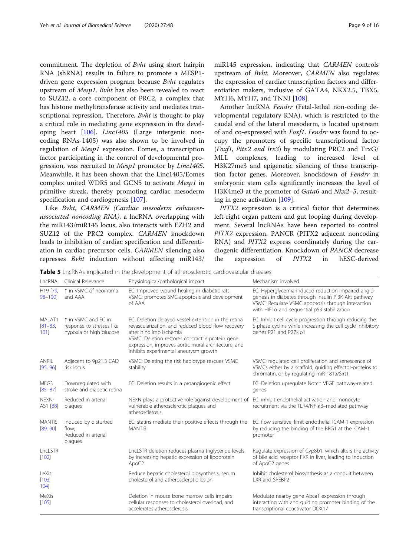<span id="page-8-0"></span>commitment. The depletion of Bvht using short hairpin RNA (shRNA) results in failure to promote a MESP1 driven gene expression program because Bvht regulates upstream of Mesp1. Bvht has also been revealed to react to SUZ12, a core component of PRC2, a complex that has histone methyltransferase activity and mediates transcriptional repression. Therefore, Bvht is thought to play a critical role in mediating gene expression in the developing heart [\[106](#page-15-0)]. Linc1405 (Large intergenic noncoding RNAs-1405) was also shown to be involved in regulation of Mesp1 expression. Eomes, a transcription factor participating in the control of developmental progression, was recruited to Mesp1 promotor by Linc1405. Meanwhile, it has been shown that the Linc1405/Eomes complex united WDR5 and GCN5 to activate Mesp1 in primitive streak, thereby promoting cardiac mesoderm specification and cardiogenesis [[107\]](#page-15-0).

Like Bvht, CARMEN (Cardiac mesoderm enhancerassociated noncoding RNA), a lncRNA overlapping with the miR143/miR145 locus, also interacts with EZH2 and SUZ12 of the PRC2 complex. CARMEN knockdown leads to inhibition of cardiac specification and differentiation in cardiac precursor cells. CARMEN silencing also represses Bvht induction without affecting miR143/

MYH6, MYH7, and TNNI [\[108\]](#page-15-0). Another lncRNA Fendrr (Fetal-lethal non-coding developmental regulatory RNA), which is restricted to the caudal end of the lateral mesoderm, is located upstream of and co-expressed with Foxf1. Fendrr was found to occupy the promoters of specific transcriptional factor (Foxf1, Pitx2 and Irx3) by modulating PRC2 and TrxG/ MLL complexes, leading to increased level of H3K27me3 and epigenetic silencing of these transcription factor genes. Moreover, knockdown of Fendrr in embryonic stem cells significantly increases the level of H3K4me3 at the promoter of Gata6 and Nkx2-5, resulting in gene activation [[109\]](#page-15-0).

PITX2 expression is a critical factor that determines left-right organ pattern and gut looping during development. Several lncRNAs have been reported to control PITX2 expression. PANCR (PITX2 adjacent noncoding RNA) and PITX2 express coordinately during the cardiogenic differentiation. Knockdown of PANCR decrease the expression of PITX2 in hESC-derived

Table 5 LncRNAs implicated in the development of atherosclerotic cardiovascular diseases

| LncRNA                        | Clinical Relevance                                                          | Physiological/pathological impact                                                                                                                                                                                                                                                        | Mechanism involved                                                                                                                                                                                              |
|-------------------------------|-----------------------------------------------------------------------------|------------------------------------------------------------------------------------------------------------------------------------------------------------------------------------------------------------------------------------------------------------------------------------------|-----------------------------------------------------------------------------------------------------------------------------------------------------------------------------------------------------------------|
| H19 [79,<br>$98 - 100$        | ↑ in VSMC of neointima<br>and AAA                                           | EC: Improved wound healing in diabetic rats<br>VSMC: promotes SMC apoptosis and development<br>of AAA                                                                                                                                                                                    | EC: Hyperglycemia-induced reduction impaired angio-<br>genesis in diabetes through insulin PI3K-Akt pathway<br>VSMC: Regulate VSMC apoptosis through interaction<br>with HIF1a and sequential p53 stabilization |
| MALAT1<br>$[81 - 83]$<br>101] | ↑ in VSMC and EC in<br>response to stresses like<br>hypoxia or high glucose | EC: Deletion delayed vessel extension in the retina<br>revascularization, and reduced blood flow recovery<br>after hindlimb ischemia<br>VSMC: Deletion restores contractile protein gene<br>expression, improves aortic mural architecture, and<br>inhibits experimental aneurysm growth | EC: Inhibit cell cycle progression through reducing the<br>S-phase cyclins while increasing the cell cycle inhibitory<br>genes P21 and P27kip1                                                                  |
| ANRIL<br>[95, 96]             | Adjacent to 9p21.3 CAD<br>risk locus                                        | VSMC: Deleting the risk haplotype rescues VSMC<br>stability                                                                                                                                                                                                                              | VSMC: regulated cell proliferation and senescence of<br>VSMCs either by a scaffold, quiding effector-proteins to<br>chromatin, or by regulating miR-181a/Sirt1                                                  |
| MEG3<br>$[85 - 87]$           | Downregulated with<br>stroke and diabetic retina                            | EC: Deletion results in a proangiogenic effect                                                                                                                                                                                                                                           | EC: Deletion upregulate Notch VEGF pathway-related<br>genes                                                                                                                                                     |
| NEXN-<br>AS1 [88]             | Reduced in arterial<br>plaques                                              | NEXN plays a protective role against development of EC: inhibit endothelial activation and monocyte<br>vulnerable atherosclerotic plaques and<br>atherosclerosis                                                                                                                         | recruitment via the TLR4/NF-KB-mediated pathway                                                                                                                                                                 |
| <b>MANTIS</b><br>[89, 90]     | Induced by disturbed<br>flow:<br>Reduced in arterial<br>plaques             | EC: statins mediate their positive effects through the<br><b>MANTIS</b>                                                                                                                                                                                                                  | EC: flow sensitive, limit endothelial ICAM-1 expression<br>by reducing the binding of the BRG1 at the ICAM-1<br>promoter                                                                                        |
| LncLSTR<br>$[102]$            |                                                                             | LncLSTR deletion reduces plasma triglyceride levels<br>by increasing hepatic expression of lipoprotein<br>ApoC <sub>2</sub>                                                                                                                                                              | Regulate expression of Cyp8b1, which alters the activity<br>of bile acid receptor FXR in liver, leading to induction<br>of ApoC2 genes                                                                          |
| LeXis<br>[103]<br>104         |                                                                             | Reduce hepatic cholesterol biosynthesis, serum<br>cholesterol and atherosclerotic lesion                                                                                                                                                                                                 | Inhibit cholesterol biosynthesis as a conduit between<br>LXR and SREBP2                                                                                                                                         |
| MeXis<br>[105]                |                                                                             | Deletion in mouse bone marrow cells impairs<br>cellular responses to cholesterol overload, and<br>accelerates atherosclerosis                                                                                                                                                            | Modulate nearby gene Abca1 expression through<br>interacting with and guiding promoter binding of the<br>transcriptional coactivator DDX17                                                                      |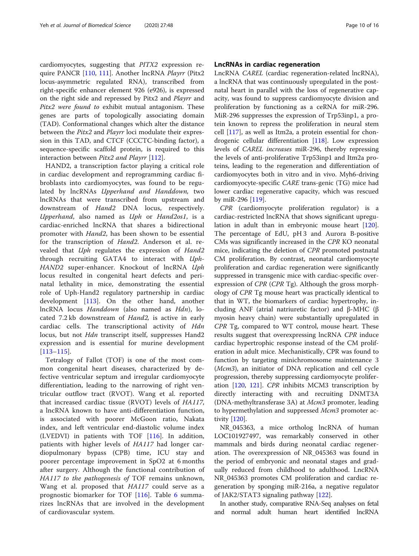cardiomyocytes, suggesting that PITX2 expression require PANCR [\[110](#page-15-0), [111](#page-15-0)]. Another lncRNA Playrr (Pitx2 locus-asymmetric regulated RNA), transcribed from right-specific enhancer element 926 (e926), is expressed on the right side and repressed by Pitx2 and Playrr and Pitx2 were found to exhibit mutual antagonism. These genes are parts of topologically associating domain (TAD). Conformational changes which alter the distance between the Pitx2 and Playrr loci modulate their expression in this TAD, and CTCF (CCCTC-binding factor), a sequence-specific scaffold protein, is required to this interaction between Pitx2 and Playrr [[112](#page-15-0)].

HAND2, a transcription factor playing a critical role in cardiac development and reprogramming cardiac fibroblasts into cardiomyocytes, was found to be regulated by lncRNAs Upperhand and Handdown, two lncRNAs that were transcribed from upstream and downstream of *Hand2* DNA locus, respectively. Upperhand, also named as Uph or Hand2os1, is a cardiac-enriched lncRNA that shares a bidirectional promoter with Hand2, has been shown to be essential for the transcription of Hand2. Anderson et al. revealed that Uph regulates the expression of Hand2 through recruiting GATA4 to interact with Uph-HAND2 super-enhancer. Knockout of lncRNA Uph locus resulted in congenital heart defects and perinatal lethality in mice, demonstrating the essential role of Uph-Hand2 regulatory partnership in cardiac development [\[113](#page-15-0)]. On the other hand, another lncRNA locus Handdown (also named as Hdn), located 7.2 kb downstream of Hand2, is active in early cardiac cells. The transcriptional activity of Hdn locus, but not *Hdn* transcript itself, suppresses Hand2 expression and is essential for murine development [[113](#page-15-0)–[115\]](#page-15-0).

Tetralogy of Fallot (TOF) is one of the most common congenital heart diseases, characterized by defective ventricular septum and irregular cardiomyocyte differentiation, leading to the narrowing of right ventricular outflow tract (RVOT). Wang et al. reported that increased cardiac tissue (RVOT) levels of HA117, a lncRNA known to have anti-differentiation function, is associated with poorer McGoon ratio, Nakata index, and left ventricular end-diastolic volume index (LVEDVI) in patients with TOF [\[116](#page-15-0)]. In addition, patients with higher levels of HA117 had longer cardiopulmonary bypass (CPB) time, ICU stay and poorer percentage improvement in SpO2 at 6 months after surgery. Although the functional contribution of HA117 to the pathogenesis of TOF remains unknown, Wang et al. proposed that HA117 could serve as a prognostic biomarker for TOF [\[116](#page-15-0)]. Table [6](#page-10-0) summarizes lncRNAs that are involved in the development of cardiovascular system.

### LncRNAs in cardiac regeneration

LncRNA CAREL (cardiac regeneration-related lncRNA), a lncRNA that was continuously upregulated in the postnatal heart in parallel with the loss of regenerative capacity, was found to suppress cardiomyocyte division and proliferation by functioning as a ceRNA for miR-296. MiR-296 suppresses the expression of Trp53inp1, a protein known to repress the proliferation in neural stem cell [\[117\]](#page-15-0), as well as Itm2a, a protein essential for chondrogenic cellular differentiation [\[118\]](#page-15-0). Low expression levels of CAREL increases miR-296, thereby repressing the levels of anti-proliferative Trp53inp1 and Itm2a proteins, leading to the regeneration and differentiation of cardiomyocytes both in vitro and in vivo. Myh6-driving cardiomyocyte-specific CARE trans-genic (TG) mice had lower cardiac regenerative capacity, which was rescued by miR-296 [\[119](#page-15-0)].

CPR (cardiomyocyte proliferation regulator) is a cardiac-restricted lncRNA that shows significant upregulation in adult than in embryonic mouse heart [[120](#page-15-0)]. The percentage of EdU, pH 3 and Aurora B-positive CMs was significantly increased in the CPR KO neonatal mice, indicating the deletion of CPR promoted postnatal CM proliferation. By contrast, neonatal cardiomyocyte proliferation and cardiac regeneration were significantly suppressed in transgenic mice with cardiac-specific overexpression of CPR (CPR Tg). Although the gross morphology of CPR Tg mouse heart was practically identical to that in WT, the biomarkers of cardiac hypertrophy, including ANF (atrial natriuretic factor) and β-MHC (β myosin heavy chain) were substantially upregulated in CPR Tg, compared to WT control, mouse heart. These results suggest that overexpressing lncRNA CPR induce cardiac hypertrophic response instead of the CM proliferation in adult mice. Mechanistically, CPR was found to function by targeting minichromosome maintenance 3 (Mcm3), an initiator of DNA replication and cell cycle progression, thereby suppressing cardiomyocyte proliferation [\[120,](#page-15-0) [121\]](#page-15-0). CPR inhibits MCM3 transcription by directly interacting with and recruiting DNMT3A (DNA-methyltransferase 3A) at Mcm3 promoter, leading to hypermethylation and suppressed Mcm3 promoter activity [\[120\]](#page-15-0).

NR\_045363, a mice ortholog lncRNA of human LOC101927497, was remarkably conserved in other mammals and birds during neonatal cardiac regeneration. The overexpression of NR\_045363 was found in the period of embryonic and neonatal stages and gradually reduced from childhood to adulthood. LncRNA NR\_045363 promotes CM proliferation and cardiac regeneration by sponging miR-216a, a negative regulator of JAK2/STAT3 signaling pathway [\[122](#page-15-0)].

In another study, comparative RNA-Seq analyses on fetal and normal adult human heart identified lncRNA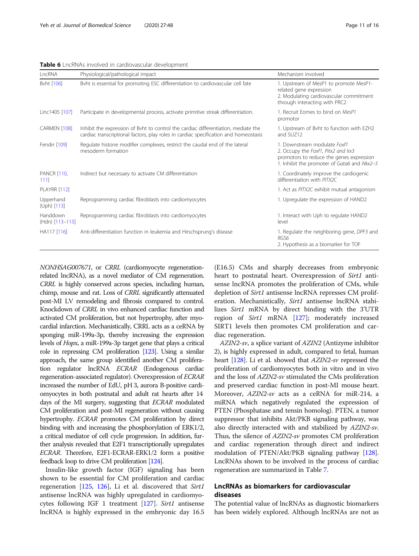#### <span id="page-10-0"></span>Table 6 LncRNAs involved in cardiovascular development

| LncRNA                      | Physiological/pathological impact                                                                                                                                          | Mechanism involved                                                                                                                                             |
|-----------------------------|----------------------------------------------------------------------------------------------------------------------------------------------------------------------------|----------------------------------------------------------------------------------------------------------------------------------------------------------------|
| Byht [106]                  | Bvht is essential for promoting ESC differentiation to cardiovascular cell fate                                                                                            | 1. Upstream of MesP1 to promote MesP1-<br>related gene expression<br>2. Modulating cardiovascular commitment<br>through interacting with PRC2                  |
| Linc1405 [107]              | Participate in developmental process, activate primitive streak differentiation.                                                                                           | 1. Recruit Eomes to bind on MesP1<br>promotor                                                                                                                  |
| CARMEN [108]                | Inhibit the expression of Byht to control the cardiac differentiation, mediate the<br>cardiac transcriptional factors, play roles in cardiac specification and homeostasis | 1. Upstream of Byht to function with EZH2<br>and SUZ12                                                                                                         |
| Fendrr [109]                | Regulate histone modifier complexes, restrict the caudal end of the lateral<br>mesoderm formation                                                                          | 1. Downstream modulate Foxf1<br>2. Occupy the Foxf1, Pitx2 and Irx3<br>promotors to reduce the genes expression<br>1. Inhibit the promoter of Gata6 and Nkx2-5 |
| <b>PANCR [110,</b><br>1111  | Indirect but necessary to activate CM differentiation                                                                                                                      | 1. Coordinately improve the cardiogenic<br>differentiation with PITX2C                                                                                         |
| <b>PLAYRR [112]</b>         |                                                                                                                                                                            | 1. Act as PITX2C exhibit mutual antagonism                                                                                                                     |
| Upperhand<br>$(Uph)$ [113]  | Reprogramming cardiac fibroblasts into cardiomyocytes                                                                                                                      | 1. Upregulate the expression of HAND2                                                                                                                          |
| Handdown<br>(Hdn) [113-115] | Reprogramming cardiac fibroblasts into cardiomyocytes                                                                                                                      | 1. Interact with Uph to regulate HAND2<br>level                                                                                                                |
| HA117 [116]                 | Anti-differentiation function in leukemia and Hirschsprung's disease                                                                                                       | 1. Regulate the neighboring gene, DPF3 and<br>RGS6<br>2. Hypothesis as a biomarker for TOF                                                                     |

NONHSAG007671, or CRRL (cardiomyocyte regenerationrelated lncRNA), as a novel mediator of CM regeneration. CRRL is highly conserved across species, including human, chimp, mouse and rat. Loss of CRRL significantly attenuated post-MI LV remodeling and fibrosis compared to control. Knockdown of CRRL in vivo enhanced cardiac function and activated CM proliferation, but not hypertrophy, after myocardial infarction. Mechanistically, CRRL acts as a ceRNA by sponging miR-199a-3p, thereby increasing the expression levels of Hopx, a miR-199a-3p target gene that plays a critical role in repressing CM proliferation [[123\]](#page-15-0). Using a similar approach, the same group identified another CM proliferation regulator lncRNA ECRAR (Endogenous cardiac regeneration-associated regulator). Overexpression of ECRAR increased the number of EdU, pH 3, aurora B-positive cardiomyocytes in both postnatal and adult rat hearts after 14 days of the MI surgery, suggesting that ECRAR modulated CM proliferation and post-MI regeneration without causing hypertrophy. ECRAR promotes CM proliferation by direct binding with and increasing the phosphorylation of ERK1/2, a critical mediator of cell cycle progression. In addition, further analysis revealed that E2F1 transcriptionally upregulates ECRAR. Therefore, E2F1-ECRAR-ERK1/2 form a positive feedback loop to drive CM proliferation [\[124\]](#page-15-0).

Insulin-like growth factor (IGF) signaling has been shown to be essential for CM proliferation and cardiac regeneration [\[125,](#page-15-0) [126\]](#page-15-0), Li et al. discovered that Sirt1 antisense lncRNA was highly upregulated in cardiomyo-cytes following IGF 1 treatment [[127](#page-15-0)]. Sirt1 antisense lncRNA is highly expressed in the embryonic day 16.5

(E16.5) CMs and sharply decreases from embryonic heart to postnatal heart. Overexpression of Sirt1 antisense lncRNA promotes the proliferation of CMs, while depletion of *Sirt1* antisense lncRNA represses CM proliferation. Mechanistically, Sirt1 antisense lncRNA stabilizes Sirt1 mRNA by direct binding with the 3'UTR region of Sirt1 mRNA [[127](#page-15-0)]; moderately increased SIRT1 levels then promotes CM proliferation and cardiac regeneration.

AZIN2-sv, a splice variant of AZIN2 (Antizyme inhibitor 2), is highly expressed in adult, compared to fetal, human heart [[128](#page-15-0)]. Li et al. showed that AZIN2-sv repressed the proliferation of cardiomyocytes both in vitro and in vivo and the loss of AZIN2-sv stimulated the CMs proliferation and preserved cardiac function in post-MI mouse heart. Moreover, AZIN2-sv acts as a ceRNA for miR-214, a miRNA which negatively regulated the expression of PTEN (Phosphatase and tensin homolog). PTEN, a tumor suppressor that inhibits Akt/PKB signaling pathway, was also directly interacted with and stabilized by AZIN2-sv. Thus, the silence of AZIN2-sv promotes CM proliferation and cardiac regeneration through direct and indirect modulation of PTEN/Akt/PKB signaling pathway [[128](#page-15-0)]. LncRNAs shown to be involved in the process of cardiac regeneration are summarized in Table [7.](#page-11-0)

### LncRNAs as biomarkers for cardiovascular diseases

The potential value of lncRNAs as diagnostic biomarkers has been widely explored. Although lncRNAs are not as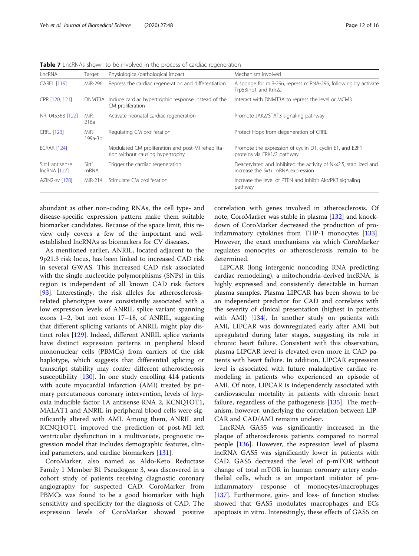| LncRNA                            | Target          | Physiological/pathological impact                                                      | Mechanism involved                                                                                      |
|-----------------------------------|-----------------|----------------------------------------------------------------------------------------|---------------------------------------------------------------------------------------------------------|
| <b>CAREL [119]</b>                | MiR-296         | Repress the cardiac regeneration and differentiation                                   | A sponge for miR-296, repress miRNA-296, following by activate<br>Trp53inp1 and ltm2a                   |
| CPR [120, 121]                    | DNMT3A          | Induce cardiac hypertrophic response instead of the<br>CM proliferation                | Interact with DNMT3A to repress the level or MCM3                                                       |
| NR 045363 [122]                   | MiR-<br>216a    | Activate neonatal cardiac regeneration                                                 | Promote JAK2/STAT3 signaling pathway                                                                    |
| <b>CRRL [123]</b>                 | MiR-<br>199a-3p | Regulating CM proliferation                                                            | Protect Hopx from degeneration of CRRL                                                                  |
| <b>ECRAR [124]</b>                |                 | Modulated CM proliferation and post-MI rehabilita-<br>tion without causing hypertrophy | Promote the expression of cyclin D1, cyclin E1, and E2F1<br>proteins via ERK1/2 pathway                 |
| Sirt1 antisense<br>$IncRNA$ [127] | Sirt1<br>mRNA   | Trigger the cardiac regeneration                                                       | Deacetylated and inhibited the activity of Nkx2.5, stabilized and<br>increase the Sirt1 mRNA expression |
| <b>AZIN2-sv [128]</b>             | MiR-214         | Stimulate CM proliferation                                                             | Increase the level of PTEN and inhibit Akt/PKB signaling<br>pathway                                     |

<span id="page-11-0"></span>Table 7 LncRNAs shown to be involved in the process of cardiac regeneration

abundant as other non-coding RNAs, the cell type- and disease-specific expression pattern make them suitable biomarker candidates. Because of the space limit, this review only covers a few of the important and wellestablished lncRNAs as biomarkers for CV diseases.

As mentioned earlier, ANRIL, located adjacent to the 9p21.3 risk locus, has been linked to increased CAD risk in several GWAS. This increased CAD risk associated with the single-nucleotide polymorphisms (SNPs) in this region is independent of all known CAD risk factors [[93\]](#page-14-0). Interestingly, the risk alleles for atherosclerosisrelated phenotypes were consistently associated with a low expression levels of ANRIL splice variant spanning exons 1–2, but not exon 17–18, of ANRIL, suggesting that different splicing variants of ANRIL might play distinct roles [[129\]](#page-15-0). Indeed, different ANRIL splice variants have distinct expression patterns in peripheral blood mononuclear cells (PBMCs) from carriers of the risk haplotype, which suggests that differential splicing or transcript stability may confer different atherosclerosis susceptibility [[130\]](#page-15-0). In one study enrolling 414 patients with acute myocardial infarction (AMI) treated by primary percutaneous coronary intervention, levels of hypoxia inducible factor 1A antisense RNA 2, KCNQ1OT1, MALAT1 and ANRIL in peripheral blood cells were significantly altered with AMI. Among them, ANRIL and KCNQ1OT1 improved the prediction of post-MI left ventricular dysfunction in a multivariate, prognostic regression model that includes demographic features, clinical parameters, and cardiac biomarkers [[131\]](#page-15-0).

CoroMarker, also named as Aldo-Keto Reductase Family 1 Member B1 Pseudogene 3, was discovered in a cohort study of patients receiving diagnostic coronary angiography for suspected CAD. CoroMarker from PBMCs was found to be a good biomarker with high sensitivity and specificity for the diagnosis of CAD. The expression levels of CoroMarker showed positive correlation with genes involved in atherosclerosis. Of note, CoroMarker was stable in plasma [\[132](#page-15-0)] and knockdown of CoroMarker decreased the production of proinflammatory cytokines from THP-1 monocytes [[133](#page-15-0)]. However, the exact mechanisms via which CoroMarker regulates monocytes or atherosclerosis remain to be determined.

LIPCAR (long intergenic noncoding RNA predicting cardiac remodeling), a mitochondria-derived lncRNA, is highly expressed and consistently detectable in human plasma samples. Plasma LIPCAR has been shown to be an independent predictor for CAD and correlates with the severity of clinical presentation (highest in patients with AMI) [\[134\]](#page-15-0). In another study on patients with AMI, LIPCAR was downregulated early after AMI but upregulated during later stages, suggesting its role in chronic heart failure. Consistent with this observation, plasma LIPCAR level is elevated even more in CAD patients with heart failure. In addition, LIPCAR expression level is associated with future maladaptive cardiac remodeling in patients who experienced an episode of AMI. Of note, LIPCAR is independently associated with cardiovascular mortality in patients with chronic heart failure, regardless of the pathogenesis [[135](#page-15-0)]. The mechanism, however, underlying the correlation between LIP-CAR and CAD/AMI remains unclear.

LncRNA GAS5 was significantly increased in the plaque of atherosclerosis patients compared to normal people [[136](#page-15-0)]. However, the expression level of plasma lncRNA GAS5 was significantly lower in patients with CAD. GAS5 decreased the level of p-mTOR without change of total mTOR in human coronary artery endothelial cells, which is an important initiator of proinflammatory response of monocytes/macrophages [[137\]](#page-15-0). Furthermore, gain- and loss- of function studies showed that GAS5 modulates macrophages and ECs apoptosis in vitro. Interestingly, these effects of GAS5 on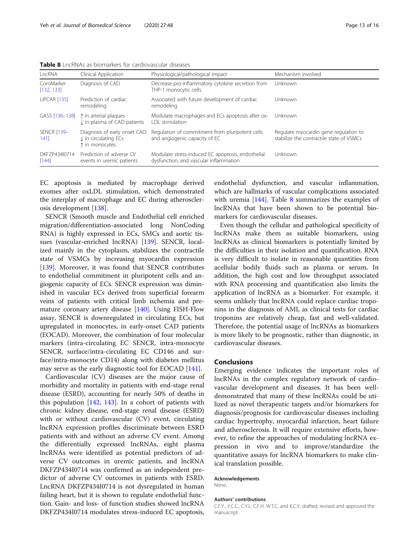Table 8 LncRNAs as biomarkers for cardiovascular diseases

| LncRNA                     | Clinical Application                                                           | Physiological/pathological impact                                                           | Mechanism involved                                                                |
|----------------------------|--------------------------------------------------------------------------------|---------------------------------------------------------------------------------------------|-----------------------------------------------------------------------------------|
| CoroMarker<br>[132, 133]   | Diagnosis of CAD                                                               | Decrease pro-inflammatory cytokine secretion from<br>THP-1 monocytic cells                  | Unknown                                                                           |
| LIPCAR [135]               | Prediction of cardiac<br>remodeling                                            | Associated with future development of cardiac<br>remodeling                                 | Unknown                                                                           |
| GAS5 [136-138]             | t in arterial plaques<br>I in plasma of CAD patients                           | Modulate macrophages and ECs apoptosis after ox-<br><b>IDI</b> stimulation                  | Unknown                                                                           |
| <b>SENCR [139-</b><br>1411 | Diagnosis of early onset CAD:<br><b>J</b> in circulating ECs<br>t in monocytes | Regulation of commitment from pluripotent cells<br>and angiogenic capacity of EC            | Regulate myocardin gene regulation to<br>stabilize the contractile state of VSMCs |
| DKF7P434I0714<br>$[144]$   | Prediction of adverse CV<br>events in uremic patients                          | Modulate stress-induced EC apoptosis, endothelial<br>dysfunction, and vascular inflammation | Unknown                                                                           |

EC apoptosis is mediated by macrophage derived exomes after oxLDL stimulation, which demonstrated the interplay of macrophage and EC during atherosclerosis development [[138](#page-15-0)].

SENCR (Smooth muscle and Endothelial cell enriched migration/differentiation-associated long NonCoding RNA) is highly expressed in ECs, SMCs and aortic tissues (vascular-enriched lncRNA) [\[139](#page-15-0)]. SENCR, localized mainly in the cytoplasm, stabilizes the contractile state of VSMCs by increasing myocardin expression [[139\]](#page-15-0). Moreover, it was found that SENCR contributes to endothelial commitment in pluripotent cells and angiogenic capacity of ECs. SENCR expression was diminished in vascular ECs derived from superficial forearm veins of patients with critical limb ischemia and premature coronary artery disease [\[140](#page-15-0)]. Using FISH-Flow assay, SENCR is downregulated in circulating ECs, but upregulated in monocytes, in early-onset CAD patients (EOCAD). Moreover, the combination of four molecular markers (intra-circulating EC SENCR, intra-monocyte SENCR, surface/intra-circulating EC CD146 and surface/intra-monocyte CD14) along with diabetes mellitus may serve as the early diagnostic tool for EOCAD [\[141](#page-15-0)].

Cardiovascular (CV) diseases are the major cause of morbidity and mortality in patients with end-stage renal disease (ESRD), accounting for nearly 50% of deaths in this population [[142,](#page-15-0) [143\]](#page-15-0). In a cohort of patients with chronic kidney disease, end-stage renal disease (ESRD) with or without cardiovascular (CV) event, circulating lncRNA expression profiles discriminate between ESRD patients with and without an adverse CV event. Among the differentially expressed lncRNAs, eight plasma lncRNAs were identified as potential predictors of adverse CV outcomes in uremic patients, and lncRNA DKFZP434I0714 was confirmed as an independent predictor of adverse CV outcomes in patients with ESRD. LncRNA DKFZP434I0714 is not dysregulated in human failing heart, but it is shown to regulate endothelial function. Gain- and loss- of function studies showed lncRNA DKFZP434I0714 modulates stress-induced EC apoptosis,

endothelial dysfunction, and vascular inflammation, which are hallmarks of vascular complications associated with uremia  $[144]$  $[144]$  $[144]$ . Table 8 summarizes the examples of lncRNAs that have been shown to be potential biomarkers for cardiovascular diseases.

Even though the cellular and pathological specificity of lncRNAs make them as suitable biomarkers, using lncRNAs as clinical biomarkers is potentially limited by the difficulties in their isolation and quantification. RNA is very difficult to isolate in reasonable quantities from acellular bodily fluids such as plasma or serum. In addition, the high cost and low throughput associated with RNA processing and quantification also limits the application of lncRNA as a biomarker. For example, it seems unlikely that lncRNA could replace cardiac troponins in the diagnosis of AMI, as clinical tests for cardiac troponins are relatively cheap, fast and well-validated. Therefore, the potential usage of lncRNAs as biomarkers is more likely to be prognostic, rather than diagnostic, in cardiovascular diseases.

### Conclusions

Emerging evidence indicates the important roles of lncRNAs in the complex regulatory network of cardiovascular development and diseases. It has been welldemonstrated that many of these lncRNAs could be utilized as novel therapeutic targets and/or biomarkers for diagnosis/prognosis for cardiovascular diseases including cardiac hypertrophy, myocardial infarction, heart failure and atherosclerosis. It will require extensive efforts, however, to refine the approaches of modulating lncRNA expression in vivo and to improve/standardize the quantitative assays for lncRNA biomarkers to make clinical translation possible.

#### Acknowledgements

**None** 

#### Authors' contributions

C.F.Y., Y.C.C., C.Y.L. C.F.H. W.T.C. and K.C.Y. drafted, revised and approved the manuscript.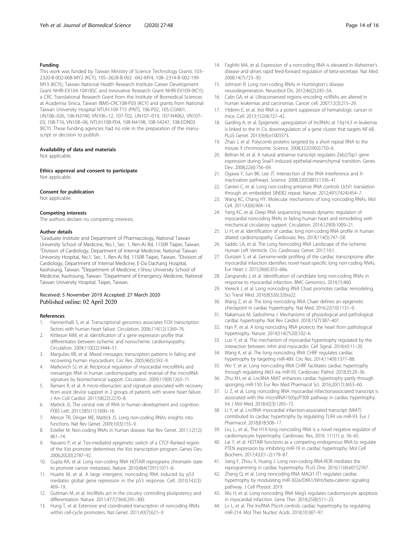#### <span id="page-13-0"></span>Funding

This work was funded by Taiwan Ministry of Science Technology Grants 103– 2320-B-002-068-MY2 (KCY), 105–2628-B-002 -042-MY4, 108–2314-B-002-199- MY3 (KCY);; Taiwan National Health Research Institute Career Development Grant NHRI-EX104-10418SC and Innovative Research Grant NHRI-EX109-(KCY); a CRC Translational Research Grant from the Institute of Biomedical Sciences at Academia Sinica, Taiwan IBMS-CRC108-P03 (KCY) and grants from National Taiwan University Hospital NTUH.109-T15 (PNT), 106-P02, 105-CGN01, UN106–026, 106-N3740, VN106–12, 107-T02, UN107–019, 107-N4062, VN107– 03, 108-T16, VN108–06, NTUH.108-P04, 108-N4198, 108-S4247, 108-EDN03 (KCY). These funding agencies had no role in the preparation of the manuscript or decision to publish.

#### Availability of data and materials

Not applicable.

#### Ethics approval and consent to participate

Not applicable.

#### Consent for publication

Not applicable.

#### Competing interests

The authors declare no competing interests.

#### Author details

<sup>1</sup>Graduate Institute and Department of Pharmacology, National Taiwan University School of Medicine, No.1, Sec. 1, Ren-Ai Rd, 1150R Taipei, Taiwan. <sup>2</sup> Division of Cardiology, Department of Internal Medicine, National Taiwan University Hospital, No.1, Sec. 1, Ren-Ai Rd, 1150R Taipei, Taiwan. <sup>3</sup>Division of Cardiology, Department of Internal Medicine, E-Da Dachang Hospital, Kaohsiung, Taiwan. <sup>4</sup> Department of Medicine, I-Shou University School of Medicine, Kaohsiung, Taiwan. <sup>5</sup>Department of Emergency Medicine, National Taiwan University Hospital, Taipei, Taiwan.

### Received: 5 November 2019 Accepted: 27 March 2020 Published online: 02 April 2020

#### References

- 1. Hannenhalli S, et al. Transcriptional genomics associates FOX transcription factors with human heart failure. Circulation. 2006;114(12):1269–76.
- 2. Kittleson MM, et al. Identification of a gene expression profile that differentiates between ischemic and nonischemic cardiomyopathy. Circulation. 2004;110(22):3444–51.
- 3. Margulies KB, et al. Mixed messages: transcription patterns in failing and recovering human myocardium. Circ Res. 2005;96(5):592–9.
- 4. Matkovich SJ, et al. Reciprocal regulation of myocardial microRNAs and messenger RNA in human cardiomyopathy and reversal of the microRNA signature by biomechanical support. Circulation. 2009;119(9):1263–71.
- 5. Ramani R, et al. A micro-ribonucleic acid signature associated with recovery from assist device support in 2 groups of patients with severe heart failure. J Am Coll Cardiol. 2011;58(22):2270–8.
- 6. Mattick JS. The central role of RNA in human development and cognition. FEBS Lett. 2011;585(11):1600–16.
- 7. Mercer TR, Dinger ME, Mattick JS. Long non-coding RNAs: insights into functions. Nat Rev Genet. 2009;10(3):155–9.
- 8. Esteller M. Non-coding RNAs in human disease. Nat Rev Genet. 2011;12(12): 861–74.
- Navarro P, et al. Tsix-mediated epigenetic switch of a CTCF-flanked region of the Xist promoter determines the Xist transcription program. Genes Dev. 2006;20(20):2787–92.
- 10. Gupta RA, et al. Long non-coding RNA HOTAIR reprograms chromatin state to promote cancer metastasis. Nature. 2010;464(7291):1071–6.
- 11. Huarte M, et al. A large intergenic noncoding RNA induced by p53 mediates global gene repression in the p53 response. Cell. 2010;142(3): 409–19.
- 12. Guttman M, et al. lincRNAs act in the circuitry controlling pluripotency and differentiation. Nature. 2011;477(7364):295–300.
- 13. Hung T, et al. Extensive and coordinated transcription of noncoding RNAs within cell-cycle promoters. Nat Genet. 2011;43(7):621–9.
- 14. Faghihi MA, et al. Expression of a noncoding RNA is elevated in Alzheimer's disease and drives rapid feed-forward regulation of beta-secretase. Nat Med. 2008;14(7):723–30.
- 15. Johnson R. Long non-coding RNAs in Huntington's disease neurodegeneration. Neurobiol Dis. 2012;46(2):245–54.
- 16. Calin GA, et al. Ultraconserved regions encoding ncRNAs are altered in human leukemias and carcinomas. Cancer cell. 2007;12(3):215–29.
- 17. Yildirim E, et al. Xist RNA is a potent suppressor of hematologic cancer in mice. Cell. 2013;152(4):727–42.
- 18. Garding A, et al. Epigenetic upregulation of lncRNAs at 13q14.3 in leukemia is linked to the In Cis downregulation of a gene cluster that targets NF-kB. PLoS Genet. 2013;9(4):e1003373.
- 19. Zhao J, et al. Polycomb proteins targeted by a short repeat RNA to the mouse X chromosome. Science. 2008;322(5902):750–6.
- 20. Beltran M, et al. A natural antisense transcript regulates Zeb2/Sip1 gene expression during Snail1-induced epithelial-mesenchymal transition. Genes Dev. 2008;22(6):756–69.
- 21. Ogawa Y, Sun BK, Lee JT. Intersection of the RNA interference and Xinactivation pathways. Science. 2008;320(5881):1336–41.
- 22. Carrieri C, et al. Long non-coding antisense RNA controls Uchl1 translation through an embedded SINEB2 repeat. Nature. 2012;491(7424):454–7.
- 23. Wang KC, Chang HY. Molecular mechanisms of long noncoding RNAs. Mol Cell. 2011;43(6):904–14.
- 24. Yang KC, et al. Deep RNA sequencing reveals dynamic regulation of myocardial noncoding RNAs in failing human heart and remodeling with mechanical circulatory support. Circulation. 2014;129(9):1009–21.
- 25. Li H, et al. Identification of cardiac long non-coding RNA profile in human dilated cardiomyopathy. Cardiovasc Res. 2018;114(5):747–58.
- 26. Saddic LA, et al. The Long Noncoding RNA Landscape of the Ischemic Human Left Ventricle. Circ Cardiovasc Genet. 2017;10:1.
- 27. Ounzain S, et al. Genome-wide profiling of the cardiac transcriptome after myocardial infarction identifies novel heart-specific long non-coding RNAs. Eur Heart J. 2015;36(6):353–68a.
- 28. Zangrando J, et al. Identification of candidate long non-coding RNAs in response to myocardial infarction. BMC Genomics. 2014;15:460.
- 29. Viereck J, et al. Long noncoding RNA Chast promotes cardiac remodeling. Sci Transl Med. 2016;8(326):326ra22.
- 30. Wang Z, et al. The long noncoding RNA Chaer defines an epigenetic checkpoint in cardiac hypertrophy. Nat Med. 2016;22(10):1131–9.
- 31. Nakamura M, Sadoshima J. Mechanisms of physiological and pathological cardiac hypertrophy. Nat Rev Cardiol. 2018;15(7):387–407.
- 32. Han P, et al. A long noncoding RNA protects the heart from pathological hypertrophy. Nature. 2014;514(7520):102–6.
- 33. Luo Y, et al. The mechanism of myocardial hypertrophy regulated by the interaction between mhrt and myocardin. Cell Signal. 2018;43:11–20.
- 34. Wang K, et al. The long noncoding RNA CHRF regulates cardiac hypertrophy by targeting miR-489. Circ Res. 2014;114(9):1377–88.
- 35. Wo Y, et al. Long non-coding RNA CHRF facilitates cardiac hypertrophy through regulating Akt3 via miR-93. Cardiovasc Pathol. 2018;35:29–36.
- 36. Zhu XH, et al. LncRNA MIAT enhances cardiac hypertrophy partly through sponging miR-150. Eur Rev Med Pharmacol Sci. 2016;20(17):3653–60.
- 37. Li Z, et al. Long noncoding RNA myocardial infarctionassociated transcript is associated with the microRNA1505p/P300 pathway in cardiac hypertrophy. Int J Mol Med. 2018;42(3):1265–72.
- 38. Li Y, et al. LncRNA myocardial infarction-associated transcript (MIAT) contributed to cardiac hypertrophy by regulating TLR4 via miR-93. Eur J Pharmacol. 2018;818:508–17.
- 39. Liu, L., et al., The H19 long noncoding RNA is a novel negative regulator of cardiomyocyte hypertrophy. Cardiovasc Res, 2016. 111(1): p. 56–65.
- 40. Lai Y, et al. HOTAIR functions as a competing endogenous RNA to regulate PTEN expression by inhibiting miR-19 in cardiac hypertrophy. Mol Cell Biochem. 2017;432(1–2):179–87.
- 41. Jiang F, Zhou X, Huang J. Long non-coding RNA-ROR mediates the reprogramming in cardiac hypertrophy. PLoS One. 2016;11(4):e0152767.
- Zhang Q, et al. Long noncoding RNA MAGI1-IT1 regulates cardiac hypertrophy by modulating miR-302e/DKK1/Wnt/beta-catenin signaling pathway. J Cell Physiol. 2019.
- 43. Wu H, et al. Long noncoding RNA Meg3 regulates cardiomyocyte apoptosis in myocardial infarction. Gene Ther. 2018;25(8):511–23.
- 44. Lv L, et al. The lncRNA Plscr4 controls cardiac hypertrophy by regulating miR-214. Mol Ther Nucleic Acids. 2018;10:387–97.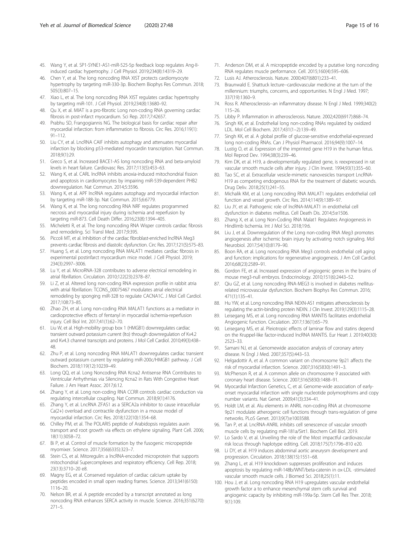- <span id="page-14-0"></span>45. Wang Y, et al. SP1-SYNE1-AS1-miR-525-5p feedback loop regulates Ang-IIinduced cardiac hypertrophy. J Cell Physiol. 2019;234(8):14319–29.
- 46. Chen Y, et al. The long noncoding RNA XIST protects cardiomyocyte hypertrophy by targeting miR-330-3p. Biochem Biophys Res Commun. 2018; 505(3):807–15.
- 47. Xiao L, et al. The long noncoding RNA XIST regulates cardiac hypertrophy by targeting miR-101. J Cell Physiol. 2019;234(8):13680–92.
- 48. Qu X, et al. MIAT is a pro-fibrotic Long non-coding RNA governing cardiac fibrosis in post-infarct myocardium. Sci Rep. 2017;7:42657.
- 49. Prabhu SD, Frangogiannis NG. The biological basis for cardiac repair after myocardial infarction: from inflammation to fibrosis. Circ Res. 2016;119(1): 91–112.
- 50. Liu CY, et al. LncRNA CAIF inhibits autophagy and attenuates myocardial infarction by blocking p53-mediated myocardin transcription. Nat Commun. 2018;9(1):29.
- 51. Greco S, et al. Increased BACE1-AS long noncoding RNA and beta-amyloid levels in heart failure. Cardiovasc Res. 2017;113(5):453–63.
- 52. Wang K, et al. CARL lncRNA inhibits anoxia-induced mitochondrial fission and apoptosis in cardiomyocytes by impairing miR-539-dependent PHB2 downregulation. Nat Commun. 2014;5:3596.
- 53. Wang K, et al. APF lncRNA regulates autophagy and myocardial infarction by targeting miR-188-3p. Nat Commun. 2015;6:6779.
- 54. Wang K, et al. The long noncoding RNA NRF regulates programmed necrosis and myocardial injury during ischemia and reperfusion by targeting miR-873. Cell Death Differ. 2016;23(8):1394–405.
- 55. Micheletti R, et al. The long noncoding RNA Wisper controls cardiac fibrosis and remodeling. Sci Transl Med. 2017;9:395.
- 56. Piccoli MT, et al. Inhibition of the cardiac fibroblast-enriched lncRNA Meg3 prevents cardiac fibrosis and diastolic dysfunction. Circ Res. 2017;121(5):575–83.
- 57. Huang S, et al. Long noncoding RNA MALAT1 mediates cardiac fibrosis in experimental postinfarct myocardium mice model. J Cell Physiol. 2019; 234(3):2997–3006.
- 58. Lu Y, et al. MicroRNA-328 contributes to adverse electrical remodeling in atrial fibrillation. Circulation. 2010;122(23):2378–87.
- 59. Li Z, et al. Altered long non-coding RNA expression profile in rabbit atria with atrial fibrillation: TCONS\_00075467 modulates atrial electrical remodeling by sponging miR-328 to regulate CACNA1C. J Mol Cell Cardiol. 2017;108:73–85.
- 60. Zhao ZH, et al. Long non-coding RNA MALAT1 functions as a mediator in cardioprotective effects of fentanyl in myocardial ischemia-reperfusion injury. Cell Biol Int. 2017;41(1):62–70.
- 61. Liu W, et al. High-mobility group box 1 (HMGB1) downregulates cardiac transient outward potassium current (Ito) through downregulation of Kv4.2 and Kv4.3 channel transcripts and proteins. J Mol Cell Cardiol. 2010;49(3):438– 48.
- 62. Zhu P, et al. Long noncoding RNA MALAT1 downregulates cardiac transient outward potassium current by regulating miR-200c/HMGB1 pathway. J Cell Biochem. 2018;119(12):10239–49.
- 63. Long QQ, et al. Long Noncoding RNA Kcna2 Antisense RNA Contributes to Ventricular Arrhythmias via Silencing Kcna2 in Rats With Congestive Heart Failure. J Am Heart Assoc. 2017;6:12.
- 64. Zhang Y, et al. Long non-coding RNA CCRR controls cardiac conduction via regulating intercellular coupling. Nat Commun. 2018;9(1):4176.
- 65. Zhang Y, et al. LncRNA ZFAS1 as a SERCA2a inhibitor to cause intracellular Ca(2+) overload and contractile dysfunction in a mouse model of myocardial infarction. Circ Res. 2018;122(10):1354–68.
- 66. Chilley PM, et al. The POLARIS peptide of Arabidopsis regulates auxin transport and root growth via effects on ethylene signaling. Plant Cell. 2006; 18(11):3058–72.
- 67. Bi P, et al. Control of muscle formation by the fusogenic micropeptide myomixer. Science. 2017;356(6335):323–7.
- 68. Stein CS, et al. Mitoregulin: a lncRNA-encoded microprotein that supports mitochondrial Supercomplexes and respiratory efficiency. Cell Rep. 2018; 23(13):3710–20 e8.
- 69. Magny EG, et al. Conserved regulation of cardiac calcium uptake by peptides encoded in small open reading frames. Science. 2013;341(6150): 1116–20.
- 70. Nelson BR, et al. A peptide encoded by a transcript annotated as long noncoding RNA enhances SERCA activity in muscle. Science. 2016;351(6270):  $271 - 5$
- 71. Anderson DM, et al. A micropeptide encoded by a putative long noncoding RNA regulates muscle performance. Cell. 2015;160(4):595–606.
- 72. Lusis AJ. Atherosclerosis. Nature. 2000;407(6801):233–41.
- 73. Braunwald E. Shattuck lecture--cardiovascular medicine at the turn of the millennium: triumphs, concerns, and opportunities. N Engl J Med. 1997; 337(19):1360–9.
- 74. Ross R. Atherosclerosis--an inflammatory disease. N Engl J Med. 1999;340(2): 115–26.
- 75. Libby P. Inflammation in atherosclerosis. Nature. 2002;420(6917):868–74.
- 76. Singh KK, et al. Endothelial long non-coding RNAs regulated by oxidized LDL. Mol Cell Biochem. 2017;431(1–2):139–49.
- 77. Singh KK, et al. A global profile of glucose-sensitive endothelial-expressed long non-coding RNAs. Can J Physiol Pharmacol. 2016;94(9):1007–14.
- 78. Lustig O, et al. Expression of the imprinted gene H19 in the human fetus. Mol Reprod Dev. 1994;38(3):239–46.
- 79. Kim DK, et al. H19, a developmentally regulated gene, is reexpressed in rat vascular smooth muscle cells after injury. J Clin Invest. 1994;93(1):355–60.
- 80. Tao SC, et al. Extracellular vesicle-mimetic nanovesicles transport LncRNA-H19 as competing endogenous RNA for the treatment of diabetic wounds. Drug Deliv. 2018;25(1):241–55.
- 81. Michalik KM, et al. Long noncoding RNA MALAT1 regulates endothelial cell function and vessel growth. Circ Res. 2014;114(9):1389–97.
- 82. Liu JY, et al. Pathogenic role of lncRNA-MALAT1 in endothelial cell dysfunction in diabetes mellitus. Cell Death Dis. 2014;5:e1506.
- 83. Zhang X, et al. Long Non-Coding RNA Malat1 Regulates Angiogenesis in Hindlimb Ischemia. Int J Mol Sci. 2018;19:6.
- 84. Liu J, et al. Downregulation of the Long non-coding RNA Meg3 promotes angiogenesis after ischemic brain injury by activating notch signaling. Mol Neurobiol. 2017;54(10):8179–90.
- 85. Boon RA, et al. Long noncoding RNA Meg3 controls endothelial cell aging and function: implications for regenerative angiogenesis. J Am Coll Cardiol. 2016;68(23):2589–91.
- Gordon FE, et al. Increased expression of angiogenic genes in the brains of mouse meg3-null embryos. Endocrinology. 2010;151(6):2443–52.
- 87. Qiu GZ, et al. Long noncoding RNA-MEG3 is involved in diabetes mellitusrelated microvascular dysfunction. Biochem Biophys Res Commun. 2016; 471(1):135–41.
- 88. Hu YW, et al. Long noncoding RNA NEXN-AS1 mitigates atherosclerosis by regulating the actin-binding protein NEXN. J Clin Invest. 2019;129(3):1115–28.
- 89. Leisegang MS, et al. Long noncoding RNA MANTIS facilitates endothelial Angiogenic function. Circulation. 2017;136(1):65–79.
- 90. Leisegang MS, et al. Pleiotropic effects of laminar flow and statins depend on the Kruppel-like factor-induced lncRNA MANTIS. Eur Heart J. 2019;40(30): 2523–33.
- 91. Samani NJ, et al. Genomewide association analysis of coronary artery disease. N Engl J Med. 2007;357(5):443–53.
- 92. Helgadottir A, et al. A common variant on chromosome 9p21 affects the risk of myocardial infarction. Science. 2007;316(5830):1491–3.
- 93. McPherson R, et al. A common allele on chromosome 9 associated with coronary heart disease. Science. 2007;316(5830):1488–91.
- 94. Myocardial Infarction Genetics, C, et al. Genome-wide association of earlyonset myocardial infarction with single nucleotide polymorphisms and copy number variants. Nat Genet. 2009;41(3):334–41.
- 95. Holdt LM, et al. Alu elements in ANRIL non-coding RNA at chromosome 9p21 modulate atherogenic cell functions through trans-regulation of gene networks. PLoS Genet. 2013;9(7):e1003588.
- 96. Tan P, et al. LncRNA-ANRIL inhibits cell senescence of vascular smooth muscle cells by regulating miR-181a/Sirt1. Biochem Cell Biol. 2019.
- 97. Lo Sardo V, et al. Unveiling the role of the Most impactful cardiovascular risk locus through haplotype editing. Cell. 2018;175(7):1796–810 e20.
- 98. Li DY, et al. H19 induces abdominal aortic aneurysm development and progression. Circulation. 2018;138(15):1551–68.
- 99. Zhang L, et al. H19 knockdown suppresses proliferation and induces apoptosis by regulating miR-148b/WNT/beta-catenin in ox-LDL -stimulated vascular smooth muscle cells. J Biomed Sci. 2018;25(1):11.
- 100. Hou J, et al. Long noncoding RNA H19 upregulates vascular endothelial growth factor a to enhance mesenchymal stem cells survival and angiogenic capacity by inhibiting miR-199a-5p. Stem Cell Res Ther. 2018; 9(1):109.